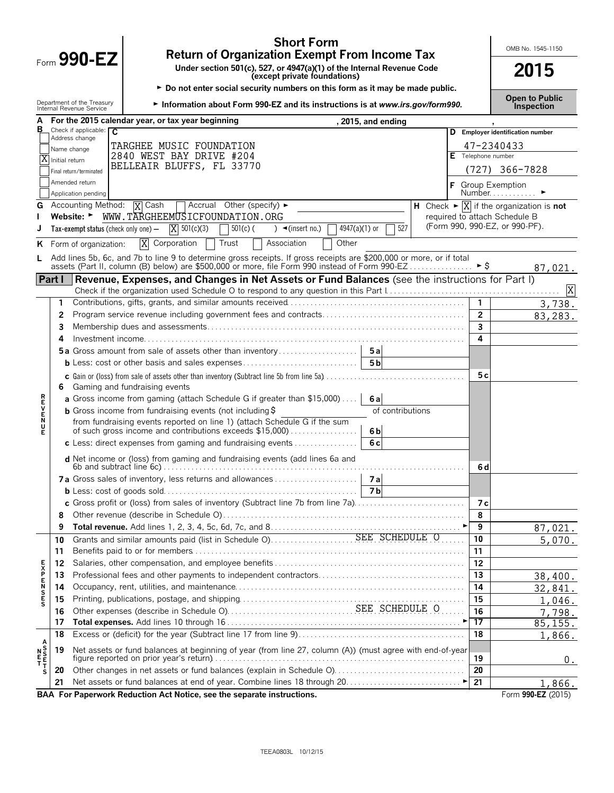|             |                |                                                        | <b>Short Form</b><br><b>Return of Organization Exempt From Income Tax</b>                                                                                                                                              |  |                | OMB No. 1545-1150                                                                   |
|-------------|----------------|--------------------------------------------------------|------------------------------------------------------------------------------------------------------------------------------------------------------------------------------------------------------------------------|--|----------------|-------------------------------------------------------------------------------------|
|             |                | Form 990-EZ                                            | Under section 501(c), 527, or 4947(a)(1) of the Internal Revenue Code<br>(except private foundations)                                                                                                                  |  |                | 2015                                                                                |
|             |                |                                                        |                                                                                                                                                                                                                        |  |                |                                                                                     |
|             |                | Department of the Treasury<br>Internal Revenue Service | ► Do not enter social security numbers on this form as it may be made public.<br>Information about Form 990-EZ and its instructions is at www.irs.gov/form990.                                                         |  |                | <b>Open to Public</b><br><b>Inspection</b>                                          |
|             |                |                                                        | For the 2015 calendar year, or tax year beginning<br>, 2015, and ending                                                                                                                                                |  |                |                                                                                     |
| в           |                | Check if applicable: $\overline{C}$<br>Address change  |                                                                                                                                                                                                                        |  |                | D Employer identification number                                                    |
|             |                | Name change                                            | TARGHEE MUSIC FOUNDATION                                                                                                                                                                                               |  |                | 47-2340433                                                                          |
|             | Initial return |                                                        | 2840 WEST BAY DRIVE #204<br>BELLEAIR BLUFFS, FL 33770                                                                                                                                                                  |  |                | Telephone number                                                                    |
|             |                | Final return/terminated                                |                                                                                                                                                                                                                        |  |                | $(727)$ 366-7828                                                                    |
|             |                | Amended return<br>Application pending                  |                                                                                                                                                                                                                        |  |                | Group Exemption<br>Number $\dots$                                                   |
| G           |                | Accounting Method:                                     | $\overline{X}$ Cash<br>Accrual Other (specify) $\blacktriangleright$                                                                                                                                                   |  |                | <b>H</b> Check $\blacktriangleright \overline{X}$ if the organization is <b>not</b> |
|             |                | Website: ►                                             | WWW.TARGHEEMUSICFOUNDATION.ORG                                                                                                                                                                                         |  |                | required to attach Schedule B<br>(Form 990, 990-EZ, or 990-PF).                     |
|             |                | Tax-exempt status (check only one) -                   | $\overline{X}$ 501(c)(3)<br>527<br>$501(c)$ (<br>$\rightarrow$ (insert no.)<br>$4947(a)(1)$ or                                                                                                                         |  |                |                                                                                     |
| ĸ.          |                | Form of organization:                                  | X Corporation<br>Trust<br>Other<br>Association                                                                                                                                                                         |  |                |                                                                                     |
| L.          |                |                                                        | Add lines 5b, 6c, and 7b to line 9 to determine gross receipts. If gross receipts are \$200,000 or more, or if total<br>assets (Part II, column (B) below) are \$500,000 or more, file Form 990 instead of Form 990-EZ |  | ิ ► \$         |                                                                                     |
|             | <b>Part I</b>  |                                                        | Revenue, Expenses, and Changes in Net Assets or Fund Balances (see the instructions for Part I)                                                                                                                        |  |                | 87,021.                                                                             |
|             |                |                                                        |                                                                                                                                                                                                                        |  |                | X                                                                                   |
|             | 1.             |                                                        |                                                                                                                                                                                                                        |  |                | 3,738.                                                                              |
|             | 2              |                                                        |                                                                                                                                                                                                                        |  | $\overline{2}$ | 83,283.                                                                             |
|             | 3              |                                                        |                                                                                                                                                                                                                        |  | 3              |                                                                                     |
|             | 4              |                                                        |                                                                                                                                                                                                                        |  | 4              |                                                                                     |
|             |                |                                                        |                                                                                                                                                                                                                        |  |                |                                                                                     |
|             |                |                                                        | 5 <sub>b</sub><br><b>b</b> Less: cost or other basis and sales expenses                                                                                                                                                |  |                |                                                                                     |
|             | 6              |                                                        | Gaming and fundraising events                                                                                                                                                                                          |  | 5 c            |                                                                                     |
| <b>REVE</b> |                |                                                        | a Gross income from gaming (attach Schedule G if greater than \$15,000)<br>6а                                                                                                                                          |  |                |                                                                                     |
|             |                |                                                        | <b>b</b> Gross income from fundraising events (not including $\ddot{\theta}$<br>of contributions<br>from fundraising events reported on line 1) (attach Schedule G if the sum                                          |  |                |                                                                                     |
| N<br>U      |                |                                                        | of such gross income and contributions exceeds \$15,000)<br>6 <sub>b</sub>                                                                                                                                             |  |                |                                                                                     |
|             |                |                                                        | c Less: direct expenses from gaming and fundraising events<br>6c                                                                                                                                                       |  |                |                                                                                     |
|             |                |                                                        | d Net income or (loss) from gaming and fundraising events (add lines 6a and                                                                                                                                            |  | 6 d            |                                                                                     |
|             |                |                                                        | 7a Gross sales of inventory, less returns and allowances<br>7a                                                                                                                                                         |  |                |                                                                                     |
|             |                |                                                        | 7 b                                                                                                                                                                                                                    |  |                |                                                                                     |
|             |                |                                                        | c Gross profit or (loss) from sales of inventory (Subtract line 7b from line 7a)                                                                                                                                       |  | 7 с            |                                                                                     |
|             | 8              |                                                        |                                                                                                                                                                                                                        |  | 8              |                                                                                     |
|             | 9              |                                                        |                                                                                                                                                                                                                        |  | 9              | 87,021.                                                                             |
|             | 10             |                                                        | Grants and similar amounts paid (list in Schedule O). Notice the SEE SCHEDULE O                                                                                                                                        |  | 10             | 5,070.                                                                              |
|             | 11<br>12       |                                                        |                                                                                                                                                                                                                        |  | 11<br>12       |                                                                                     |
|             | 13             |                                                        |                                                                                                                                                                                                                        |  | 13             | 38,400.                                                                             |
| のFSMFXF     | 14             |                                                        |                                                                                                                                                                                                                        |  | 14             | 32,841.                                                                             |
|             | 15             |                                                        |                                                                                                                                                                                                                        |  | 15             | 1,046.                                                                              |
|             | 16             |                                                        |                                                                                                                                                                                                                        |  | 16             | 7,798.                                                                              |
|             | 17             |                                                        |                                                                                                                                                                                                                        |  | 17             | 85, 155.                                                                            |
|             | 18             |                                                        |                                                                                                                                                                                                                        |  | 18             | 1,866.                                                                              |
|             | 19             |                                                        | Net assets or fund balances at beginning of year (from line 27, column (A)) (must agree with end-of-year                                                                                                               |  |                |                                                                                     |
|             |                |                                                        |                                                                                                                                                                                                                        |  | 19             | $0$ .                                                                               |
| s           | 20             |                                                        | Other changes in net assets or fund balances (explain in Schedule O)                                                                                                                                                   |  | 20             |                                                                                     |
|             | 21             |                                                        | BAA For Paperwork Reduction Act Notice, see the separate instructions.                                                                                                                                                 |  | 21             | 1,866.<br>Form 990-EZ (2015)                                                        |
|             |                |                                                        |                                                                                                                                                                                                                        |  |                |                                                                                     |

TEEA0803L 10/12/15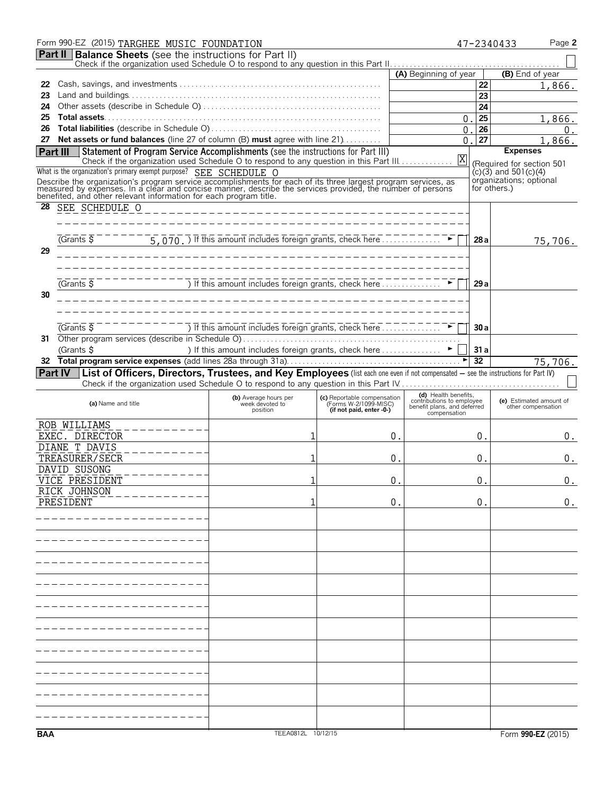|          | Form 990-EZ (2015) TARGHEE MUSIC FOUNDATION                                                                                                                                                                                          |                                                                         |                                                                                  |                                                          | 47-2340433                                             | Page 2                                        |
|----------|--------------------------------------------------------------------------------------------------------------------------------------------------------------------------------------------------------------------------------------|-------------------------------------------------------------------------|----------------------------------------------------------------------------------|----------------------------------------------------------|--------------------------------------------------------|-----------------------------------------------|
|          | <b>Part II   Balance Sheets</b> (see the instructions for Part II)                                                                                                                                                                   |                                                                         |                                                                                  |                                                          |                                                        |                                               |
|          |                                                                                                                                                                                                                                      |                                                                         |                                                                                  | (A) Beginning of year                                    | (B) End of year                                        |                                               |
| 22       |                                                                                                                                                                                                                                      |                                                                         |                                                                                  |                                                          | 22                                                     | 1,866.                                        |
| 23       |                                                                                                                                                                                                                                      |                                                                         |                                                                                  |                                                          | 23                                                     |                                               |
| 24       |                                                                                                                                                                                                                                      |                                                                         |                                                                                  |                                                          | 24                                                     |                                               |
| 25       |                                                                                                                                                                                                                                      |                                                                         |                                                                                  | 0                                                        | 25                                                     | 1,866.                                        |
| 26       |                                                                                                                                                                                                                                      |                                                                         |                                                                                  | 0                                                        | 26                                                     | 0.                                            |
| 27       | Net assets or fund balances (line 27 of column (B) must agree with line 21)                                                                                                                                                          |                                                                         |                                                                                  | 0                                                        | 27                                                     | 1,866.                                        |
| Part III | Statement of Program Service Accomplishments (see the instructions for Part III)<br>Check if the organization used Schedule O to respond to any question in this Part III.                                                           |                                                                         |                                                                                  | Χ                                                        | <b>Expenses</b>                                        |                                               |
|          | What is the organization's primary exempt purpose? SEE SCHEDULE O                                                                                                                                                                    |                                                                         |                                                                                  |                                                          | (Required for section 501<br>$(c)(3)$ and 501 $(c)(4)$ |                                               |
|          |                                                                                                                                                                                                                                      |                                                                         |                                                                                  |                                                          | organizations; optional                                |                                               |
|          | Describe the organization's program service accomplishments for each of its three largest program services, as<br>measured by expenses. In a clear and concise manner, describe the services provided, the number of persons<br>bene |                                                                         |                                                                                  |                                                          | for others.)                                           |                                               |
| 28       | SEE SCHEDULE O                                                                                                                                                                                                                       |                                                                         |                                                                                  |                                                          |                                                        |                                               |
|          |                                                                                                                                                                                                                                      |                                                                         |                                                                                  |                                                          |                                                        |                                               |
|          |                                                                                                                                                                                                                                      |                                                                         |                                                                                  |                                                          |                                                        |                                               |
|          | (Grants 5)                                                                                                                                                                                                                           | $\overline{5,070.)}$ If this amount includes foreign grants, check here |                                                                                  |                                                          | 28a                                                    | 75,706.                                       |
| 29       |                                                                                                                                                                                                                                      |                                                                         |                                                                                  |                                                          |                                                        |                                               |
|          |                                                                                                                                                                                                                                      |                                                                         |                                                                                  |                                                          |                                                        |                                               |
|          |                                                                                                                                                                                                                                      |                                                                         |                                                                                  |                                                          |                                                        |                                               |
|          | $\sqrt{G}$ rants $\overline{S}$                                                                                                                                                                                                      | The state of this amount includes foreign grants, check here            |                                                                                  |                                                          | 29a                                                    |                                               |
| 30       |                                                                                                                                                                                                                                      |                                                                         |                                                                                  |                                                          |                                                        |                                               |
|          |                                                                                                                                                                                                                                      |                                                                         |                                                                                  |                                                          |                                                        |                                               |
|          | $G$ rants $\overline{S}$                                                                                                                                                                                                             |                                                                         |                                                                                  |                                                          |                                                        |                                               |
|          |                                                                                                                                                                                                                                      | ) If this amount includes foreign grants, check here $\ldots$           |                                                                                  |                                                          | 30a                                                    |                                               |
| 31       | (Grants \$                                                                                                                                                                                                                           | ) If this amount includes foreign grants, check here ▶                  |                                                                                  |                                                          | 31a                                                    |                                               |
| 32       |                                                                                                                                                                                                                                      |                                                                         |                                                                                  |                                                          | $\overline{32}$                                        | 75,706.                                       |
|          | Part IV   List of Officers, Directors, Trustees, and Key Employees (list each one even if not compensated - see the instructions for Part IV)                                                                                        |                                                                         |                                                                                  |                                                          |                                                        |                                               |
|          | Check if the organization used Schedule O to respond to any question in this Part IV                                                                                                                                                 |                                                                         |                                                                                  |                                                          |                                                        |                                               |
|          |                                                                                                                                                                                                                                      | (b) Average hours per                                                   |                                                                                  | (d) Health benefits,                                     |                                                        |                                               |
|          | (a) Name and title                                                                                                                                                                                                                   | week devoted to<br>position                                             | (c) Reportable compensation<br>(Forms W-2/1099-MISC)<br>(if not paid, enter -0-) | contributions to employee<br>benefit plans, and deferred |                                                        | (e) Estimated amount of<br>other compensation |
|          |                                                                                                                                                                                                                                      |                                                                         |                                                                                  | compensation                                             |                                                        |                                               |
|          | ROB WILLIAMS<br>EXEC. DIRECTOR                                                                                                                                                                                                       |                                                                         | 0.                                                                               |                                                          | 0.                                                     |                                               |
|          | DIANE T DAVIS                                                                                                                                                                                                                        |                                                                         |                                                                                  |                                                          |                                                        | 0.                                            |
|          | TREASURER/SECR                                                                                                                                                                                                                       |                                                                         | $\Omega$ .                                                                       |                                                          | О.                                                     | 0.                                            |
|          | DAVID SUSONG                                                                                                                                                                                                                         |                                                                         |                                                                                  |                                                          |                                                        |                                               |
|          | VICE PRESIDENT                                                                                                                                                                                                                       |                                                                         | $0$ .                                                                            |                                                          | $\boldsymbol{0}$ .                                     | 0.                                            |
|          | RICK JOHNSON                                                                                                                                                                                                                         |                                                                         |                                                                                  |                                                          |                                                        |                                               |
|          | PRESIDENT                                                                                                                                                                                                                            |                                                                         | 0.                                                                               |                                                          | 0.                                                     | 0.                                            |
|          |                                                                                                                                                                                                                                      |                                                                         |                                                                                  |                                                          |                                                        |                                               |
|          |                                                                                                                                                                                                                                      |                                                                         |                                                                                  |                                                          |                                                        |                                               |
|          |                                                                                                                                                                                                                                      |                                                                         |                                                                                  |                                                          |                                                        |                                               |
|          |                                                                                                                                                                                                                                      |                                                                         |                                                                                  |                                                          |                                                        |                                               |
|          |                                                                                                                                                                                                                                      |                                                                         |                                                                                  |                                                          |                                                        |                                               |
|          |                                                                                                                                                                                                                                      |                                                                         |                                                                                  |                                                          |                                                        |                                               |
|          |                                                                                                                                                                                                                                      |                                                                         |                                                                                  |                                                          |                                                        |                                               |
|          |                                                                                                                                                                                                                                      |                                                                         |                                                                                  |                                                          |                                                        |                                               |
|          |                                                                                                                                                                                                                                      |                                                                         |                                                                                  |                                                          |                                                        |                                               |
|          |                                                                                                                                                                                                                                      |                                                                         |                                                                                  |                                                          |                                                        |                                               |
|          |                                                                                                                                                                                                                                      |                                                                         |                                                                                  |                                                          |                                                        |                                               |
|          |                                                                                                                                                                                                                                      |                                                                         |                                                                                  |                                                          |                                                        |                                               |
|          |                                                                                                                                                                                                                                      |                                                                         |                                                                                  |                                                          |                                                        |                                               |
|          |                                                                                                                                                                                                                                      |                                                                         |                                                                                  |                                                          |                                                        |                                               |
|          |                                                                                                                                                                                                                                      |                                                                         |                                                                                  |                                                          |                                                        |                                               |
|          |                                                                                                                                                                                                                                      |                                                                         |                                                                                  |                                                          |                                                        |                                               |
|          |                                                                                                                                                                                                                                      |                                                                         |                                                                                  |                                                          |                                                        |                                               |
|          |                                                                                                                                                                                                                                      |                                                                         |                                                                                  |                                                          |                                                        |                                               |
| BAA      |                                                                                                                                                                                                                                      | TEEA0812L 10/12/15                                                      |                                                                                  |                                                          |                                                        | Form 990-EZ (2015)                            |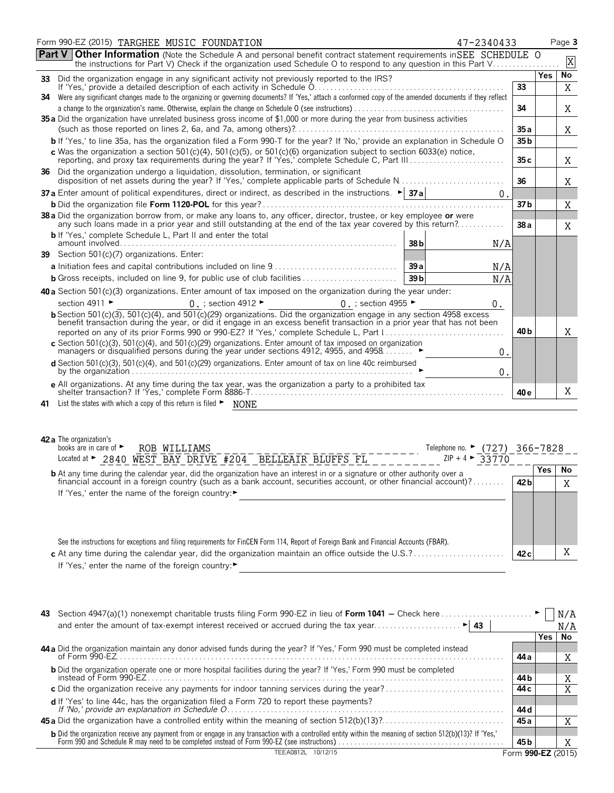| Form 990-EZ (2015) TARGHEE MUSIC FOUNDATION<br>47-2340433                                                                                                                                                                                        |                 |            | Page 3      |
|--------------------------------------------------------------------------------------------------------------------------------------------------------------------------------------------------------------------------------------------------|-----------------|------------|-------------|
| <b>Part V Other Information</b> (Note the Schedule A and personal benefit contract statement requirements in SEE SCHEDULE O<br>the instructions for Part V) Check if the organization used Schedule O to respond to any question in this Part V  |                 |            | $\mathbf X$ |
|                                                                                                                                                                                                                                                  |                 | <b>Yes</b> | No          |
|                                                                                                                                                                                                                                                  | 33              |            | X           |
| 34 Were any significant changes made to the organizing or governing documents? If 'Yes,' attach a conformed copy of the amended documents if they reflect                                                                                        | 34              |            | X           |
| 35 a Did the organization have unrelated business gross income of \$1,000 or more during the year from business activities                                                                                                                       | 35a             |            | Χ           |
| b If 'Yes,' to line 35a, has the organization filed a Form 990-T for the year? If 'No,' provide an explanation in Schedule O                                                                                                                     | 35 b            |            |             |
| c Was the organization a section 501(c)(4), 501(c)(5), or 501(c)(6) organization subject to section 6033(e) notice, reporting, and proxy tax requirements during the year? If 'Yes,' complete Schedule C, Part III                               | 35c             |            | Χ           |
| 36 Did the organization undergo a liquidation, dissolution, termination, or significant<br>disposition of net assets during the year? If 'Yes,' complete applicable parts of Schedule N                                                          | 36              |            | Χ           |
| 37a Enter amount of political expenditures, direct or indirect, as described in the instructions. $\blacktriangleright$ 37a<br>0.                                                                                                                |                 |            |             |
|                                                                                                                                                                                                                                                  | 37 b            |            | X           |
| 38 a Did the organization borrow from, or make any loans to, any officer, director, trustee, or key employee or were<br>any such loans made in a prior year and still outstanding at the end of the tax year covered by this return?             | 38 a            |            | X           |
| <b>b</b> If 'Yes,' complete Schedule L, Part II and enter the total<br>38 <sub>b</sub><br>N/A                                                                                                                                                    |                 |            |             |
| 39 Section 501(c)(7) organizations. Enter:                                                                                                                                                                                                       |                 |            |             |
| 39a<br>N/A                                                                                                                                                                                                                                       |                 |            |             |
| 39 <sub>b</sub><br>N/A                                                                                                                                                                                                                           |                 |            |             |
| 40 a Section 501(c)(3) organizations. Enter amount of tax imposed on the organization during the year under:                                                                                                                                     |                 |            |             |
| section 4911 ►<br>$0.$ ; section 4912 $\blacktriangleright$<br>0. ; section 4955 $\blacktriangleright$<br>0.                                                                                                                                     |                 |            |             |
| b Section 501(c)(3), 501(c)(4), and 501(c)(29) organizations. Did the organization engage in any section 4958 excess<br>benefit transaction during the year, or did it engage in an excess benefit transaction in a prior year that has not been |                 |            |             |
|                                                                                                                                                                                                                                                  | 40 <sub>b</sub> |            | X           |
| c Section 501(c)(3), 501(c)(4), and 501(c)(29) organizations. Enter amount of tax imposed on organization<br>managers or disqualitied persons during the year under sections 4912, 4955, and 4958<br>0.                                          |                 |            |             |
| d Section 501(c)(3), 501(c)(4), and 501(c)(29) organizations. Enter amount of tax on line 40c reimbursed<br>0.                                                                                                                                   |                 |            |             |
| e All organizations. At any time during the tax year, was the organization a party to a prohibited tax                                                                                                                                           | 40 <sub>e</sub> |            | Χ           |
| 41 List the states with which a copy of this return is filed • NONE                                                                                                                                                                              |                 |            |             |
| 42 a The organization's<br>books are in care of $\blacktriangleright$<br>ROB WILLIAMS<br>Telephone no. ► (727) 366-7828                                                                                                                          |                 |            |             |
| Located at $\sim$ 2840 WEST BAY DRIVE #204 BELLEAIR BLUFFS FL <sup>-----</sup><br>$ZIP + 4$ > 33770                                                                                                                                              |                 |            |             |
| <b>b</b> At any time during the calendar year, did the organization have an interest in or a signature or other authority over a financial account in a foreign country (such as a bank account, securities account, or other finan              | 42 <sub>b</sub> | <b>Yes</b> | No<br>X     |
| If 'Yes,' enter the name of the foreign country:▶                                                                                                                                                                                                |                 |            |             |

| See the instructions for exceptions and filing requirements for FinCEN Form 114, Report of Foreign Bank and Financial Accounts (FBAR).   |      |
|------------------------------------------------------------------------------------------------------------------------------------------|------|
| c At any time during the calendar year, did the organization maintain an office outside the $U.S. ? \dots \dots \dots \dots \dots \dots$ | 42 c |
| If 'Yes,' enter the name of the foreign country: $\blacktriangleright$                                                                   |      |

| 43 |                                                                                                                                                                                                                                        |                    |       | N/A |
|----|----------------------------------------------------------------------------------------------------------------------------------------------------------------------------------------------------------------------------------------|--------------------|-------|-----|
|    |                                                                                                                                                                                                                                        |                    |       | N/A |
|    |                                                                                                                                                                                                                                        |                    | Yes l | No  |
|    | 44 a Did the organization maintain any donor advised funds during the year? If 'Yes,' Form 990 must be completed instead                                                                                                               |                    |       |     |
|    |                                                                                                                                                                                                                                        | 44 a               |       | X   |
|    | <b>b</b> Did the organization operate one or more hospital facilities during the year? If 'Yes,' Form 990 must be completed                                                                                                            |                    |       |     |
|    |                                                                                                                                                                                                                                        | 44 b               |       |     |
|    |                                                                                                                                                                                                                                        | 44 c               |       |     |
|    |                                                                                                                                                                                                                                        |                    |       |     |
|    |                                                                                                                                                                                                                                        | 44 d               |       |     |
|    |                                                                                                                                                                                                                                        | 45 a               |       |     |
|    |                                                                                                                                                                                                                                        |                    |       |     |
|    | <b>b</b> Did the organization receive any payment from or engage in any transaction with a controlled entity within the meaning of section 512(b)(13)? If 'Yes,'<br>Form 990 and Schedule R may need to be completed instead of Form 9 | 45 b               |       |     |
|    | 10/12/15                                                                                                                                                                                                                               | Form 990-EZ (2015) |       |     |

X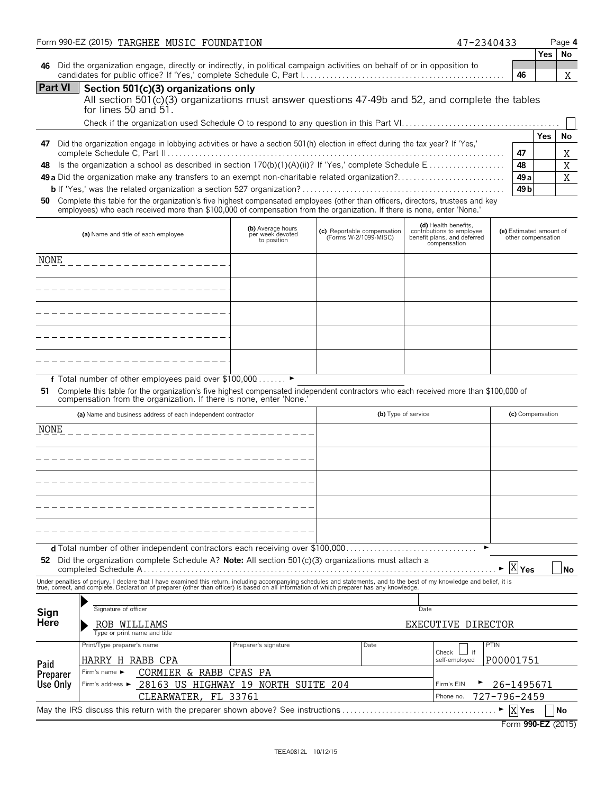|                      | Form 990-EZ (2015) TARGHEE MUSIC FOUNDATION                                                                                                                                                                                                                |                                                      |                                                      |      |                     | 47-2340433                                                                                       |                              |                    | Page 4       |
|----------------------|------------------------------------------------------------------------------------------------------------------------------------------------------------------------------------------------------------------------------------------------------------|------------------------------------------------------|------------------------------------------------------|------|---------------------|--------------------------------------------------------------------------------------------------|------------------------------|--------------------|--------------|
| 46                   | Did the organization engage, directly or indirectly, in political campaign activities on behalf of or in opposition to                                                                                                                                     |                                                      |                                                      |      |                     |                                                                                                  | 46                           | Yes                | No<br>Χ      |
| <b>Part VI</b>       | Section 501(c)(3) organizations only<br>All section 501(c)(3) organizations must answer questions 47-49b and 52, and complete the tables<br>for lines 50 and $51.$                                                                                         |                                                      |                                                      |      |                     |                                                                                                  |                              |                    |              |
| 47<br>48             | Did the organization engage in lobbying activities or have a section 501(h) election in effect during the tax year? If 'Yes,'<br>Is the organization a school as described in section 170(b)(1)(A)(ii)? If 'Yes,' complete Schedule E                      |                                                      |                                                      |      |                     |                                                                                                  | 47<br>48                     | <b>Yes</b>         | No<br>Χ<br>X |
| 50                   | Complete this table for the organization's five highest compensated employees (other than officers, directors, trustees and key<br>employees) who each received more than \$100,000 of compensation from the organization. If there is none, enter 'None.' |                                                      |                                                      |      |                     |                                                                                                  | 49 a<br>49 b                 |                    | X            |
|                      | (a) Name and title of each employee                                                                                                                                                                                                                        | (b) Average hours<br>per week devoted<br>to position | (c) Reportable compensation<br>(Forms W-2/1099-MISC) |      |                     | (d) Health benefits,<br>contributions to employee<br>benefit plans, and deferred<br>compensation | (e) Estimated amount of      | other compensation |              |
| NONE                 |                                                                                                                                                                                                                                                            |                                                      |                                                      |      |                     |                                                                                                  |                              |                    |              |
|                      |                                                                                                                                                                                                                                                            |                                                      |                                                      |      |                     |                                                                                                  |                              |                    |              |
|                      |                                                                                                                                                                                                                                                            |                                                      |                                                      |      |                     |                                                                                                  |                              |                    |              |
|                      |                                                                                                                                                                                                                                                            |                                                      |                                                      |      |                     |                                                                                                  |                              |                    |              |
| 51                   | f Total number of other employees paid over \$100,000 ▶<br>Complete this table for the organization's five highest compensated independent contractors who each received more than \$100,000 of                                                            |                                                      |                                                      |      |                     |                                                                                                  |                              |                    |              |
|                      | compensation from the organization. If there is none, enter 'None.'<br>(a) Name and business address of each independent contractor                                                                                                                        |                                                      |                                                      |      | (b) Type of service |                                                                                                  |                              | (c) Compensation   |              |
| NONE                 |                                                                                                                                                                                                                                                            |                                                      |                                                      |      |                     |                                                                                                  |                              |                    |              |
|                      |                                                                                                                                                                                                                                                            |                                                      |                                                      |      |                     |                                                                                                  |                              |                    |              |
|                      |                                                                                                                                                                                                                                                            |                                                      |                                                      |      |                     |                                                                                                  |                              |                    |              |
|                      |                                                                                                                                                                                                                                                            |                                                      |                                                      |      |                     |                                                                                                  |                              |                    |              |
|                      |                                                                                                                                                                                                                                                            |                                                      |                                                      |      |                     |                                                                                                  |                              |                    |              |
|                      | 52 Did the organization complete Schedule A? Note: All section 501(c)(3) organizations must attach a                                                                                                                                                       |                                                      |                                                      |      |                     |                                                                                                  | X <sub>Yes</sub>             |                    | <b>No</b>    |
|                      | Under penalties of perjury, I declare that I have examined this return, including accompanying schedules and statements, and to the best of my knowledge and belief, it is<br>true, correct, and complete. Declaration of prepare                          |                                                      |                                                      |      |                     |                                                                                                  |                              |                    |              |
| Sign<br>Here         | Signature of officer<br>ROB WILLIAMS<br>Type or print name and title                                                                                                                                                                                       |                                                      |                                                      |      | Date                | EXECUTIVE DIRECTOR                                                                               |                              |                    |              |
| Paid                 | Print/Type preparer's name<br>HARRY H RABB CPA<br>CORMIER & RABB CPAS PA<br>Firm's name $\blacktriangleright$                                                                                                                                              | Preparer's signature                                 |                                                      | Date |                     | Check L<br>if<br>self-employed                                                                   | <b>PTIN</b><br>P00001751     |                    |              |
| Preparer<br>Use Only | 28163 US HIGHWAY 19 NORTH SUITE 204<br>Firm's address ▶                                                                                                                                                                                                    |                                                      |                                                      |      |                     | Firm's EIN                                                                                       | 26-1495671                   |                    |              |
|                      | CLEARWATER, FL 33761<br>May the IRS discuss this return with the preparer shown above? See instructions                                                                                                                                                    |                                                      |                                                      |      |                     | Phone no.                                                                                        | 727-796-2459<br>$X$ Yes<br>► |                    | No           |
|                      |                                                                                                                                                                                                                                                            |                                                      |                                                      |      |                     |                                                                                                  | Form 990-EZ (2015)           |                    |              |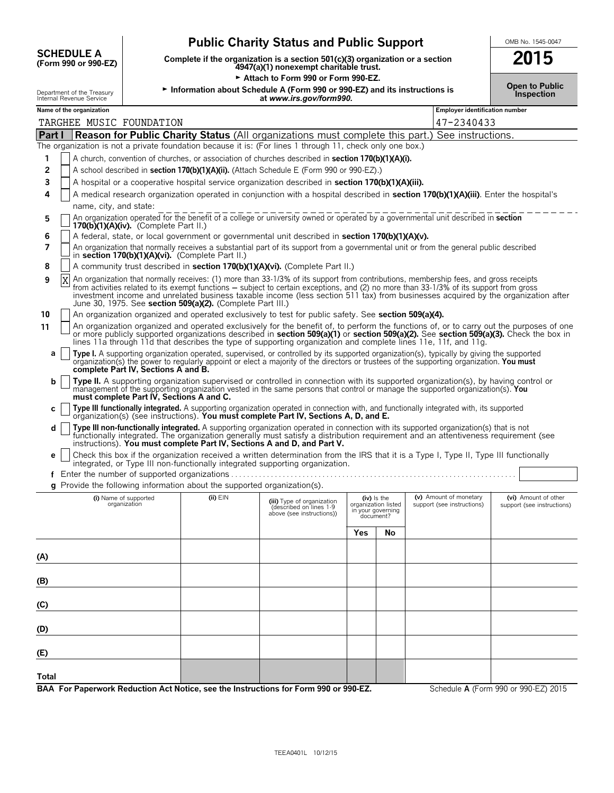| <b>SCHEDULE A</b>                                  |
|----------------------------------------------------|
| $(T_{\alpha\mu m}$ 000 $\alpha\nu$ 000 $\Gamma$ 7) |

 $\overline{\phantom{a}}$ 

# **Public Charity Status and Public Support**<br>
Nete if the organization is a section 501(c)(3) organization or a section<br> **2015**

**(Form 990 or 990-EZ) Complete if the organization is a section 501(c)(3) organization or a section 2015 4947(a)(1) nonexempt charitable trust.**

Attach to Form 990 or Form 990-EZ.

**Open to Public** Department of the Treasury <sup>G</sup>**Information about Schedule A (Form 990 or 990-EZ) and its instructions is Inspection** Internal Revenue Service **at** *www.irs.gov/form990.*

|  | OMB No. 1545-0047 |
|--|-------------------|
|  |                   |

|  | <b>Open to Public</b> |
|--|-----------------------|
|  | <b>Inspection</b>     |

|        | Department of the Treasury<br>Internal Revenue Service                                                                                                                                                                                                                                                                                                                                                                                                                                  | $\blacktriangleright$ information about Schedule A (Form 990 or 990-EZ) and its instructions is | at www.irs.gov/form990.                                                            |     |                                                                      |                                                      | Inspection                                         |
|--------|-----------------------------------------------------------------------------------------------------------------------------------------------------------------------------------------------------------------------------------------------------------------------------------------------------------------------------------------------------------------------------------------------------------------------------------------------------------------------------------------|-------------------------------------------------------------------------------------------------|------------------------------------------------------------------------------------|-----|----------------------------------------------------------------------|------------------------------------------------------|----------------------------------------------------|
|        | Name of the organization                                                                                                                                                                                                                                                                                                                                                                                                                                                                |                                                                                                 |                                                                                    |     |                                                                      | <b>Employer identification number</b>                |                                                    |
|        | TARGHEE MUSIC FOUNDATION                                                                                                                                                                                                                                                                                                                                                                                                                                                                |                                                                                                 |                                                                                    |     |                                                                      | 47-2340433                                           |                                                    |
| Part I | <b>Reason for Public Charity Status</b> (All organizations must complete this part.) See instructions.                                                                                                                                                                                                                                                                                                                                                                                  |                                                                                                 |                                                                                    |     |                                                                      |                                                      |                                                    |
|        | The organization is not a private foundation because it is: (For lines 1 through 11, check only one box.)                                                                                                                                                                                                                                                                                                                                                                               |                                                                                                 |                                                                                    |     |                                                                      |                                                      |                                                    |
|        | A church, convention of churches, or association of churches described in section 170(b)(1)(A)(i).                                                                                                                                                                                                                                                                                                                                                                                      |                                                                                                 |                                                                                    |     |                                                                      |                                                      |                                                    |
| 2      | A school described in section 170(b)(1)(A)(ii). (Attach Schedule E (Form 990 or 990-EZ).)                                                                                                                                                                                                                                                                                                                                                                                               |                                                                                                 |                                                                                    |     |                                                                      |                                                      |                                                    |
| 3      | A hospital or a cooperative hospital service organization described in section 170(b)(1)(A)(iii).                                                                                                                                                                                                                                                                                                                                                                                       |                                                                                                 |                                                                                    |     |                                                                      |                                                      |                                                    |
| 4      | A medical research organization operated in conjunction with a hospital described in section 170(b)(1)(A)(iii). Enter the hospital's                                                                                                                                                                                                                                                                                                                                                    |                                                                                                 |                                                                                    |     |                                                                      |                                                      |                                                    |
|        | name, city, and state:                                                                                                                                                                                                                                                                                                                                                                                                                                                                  |                                                                                                 |                                                                                    |     |                                                                      |                                                      |                                                    |
| 5      | An organization operated for the benefit of a college or university owned or operated by a governmental unit described in section<br>170(b)(1)(A)(iv). (Complete Part II.)                                                                                                                                                                                                                                                                                                              |                                                                                                 |                                                                                    |     |                                                                      |                                                      |                                                    |
| 6<br>7 | A federal, state, or local government or governmental unit described in section 170(b)(1)(A)(v).<br>An organization that normally receives a substantial part of its support from a governmental unit or from the general public described<br>in section 170(b)(1)(A)(vi). (Complete Part II.)                                                                                                                                                                                          |                                                                                                 |                                                                                    |     |                                                                      |                                                      |                                                    |
| 8      | A community trust described in section 170(b)(1)(A)(vi). (Complete Part II.)                                                                                                                                                                                                                                                                                                                                                                                                            |                                                                                                 |                                                                                    |     |                                                                      |                                                      |                                                    |
| 9      | An organization that normally receives: (1) more than 33-1/3% of its support from contributions, membership fees, and gross receipts<br>X<br>from activities related to its exempt functions – subject to certain exceptions, and (2) no more than 33-1/3% of its support from gross<br>investment income and unrelated business taxable income (less section 511 tax) from businesses acquired by the organization after<br>June 30, 1975. See section 509(a)(2). (Complete Part III.) |                                                                                                 |                                                                                    |     |                                                                      |                                                      |                                                    |
| 10     | An organization organized and operated exclusively to test for public safety. See section 509(a)(4).                                                                                                                                                                                                                                                                                                                                                                                    |                                                                                                 |                                                                                    |     |                                                                      |                                                      |                                                    |
| 11     | An organization organized and operated exclusively for the benefit of, to perform the functions of, or to carry out the purposes of one<br>or more publicly supported organizations described in section 509(a)(1) or section 509(a)(2). See section 509(a)(3). Check the box in<br>lines 11a through 11d that describes the type of supporting organization and complete lines 11e, 11f, and 11g.                                                                                      |                                                                                                 |                                                                                    |     |                                                                      |                                                      |                                                    |
| a      | Type I. A supporting organization operated, supervised, or controlled by its supported organization(s), typically by giving the supported<br>organization(s) the power to regularly appoint or elect a majority of the directors or trustees of the supporting organization. You must<br>complete Part IV, Sections A and B.                                                                                                                                                            |                                                                                                 |                                                                                    |     |                                                                      |                                                      |                                                    |
| b      | Type II. A supporting organization supervised or controlled in connection with its supported organization(s), by having control or<br>management of the supporting organization vested in the same persons that control or manage the supported organization(s). You<br>must complete Part IV, Sections A and C.                                                                                                                                                                        |                                                                                                 |                                                                                    |     |                                                                      |                                                      |                                                    |
| С      | Type III functionally integrated. A supporting organization operated in connection with, and functionally integrated with, its supported organization(s) (see instructions). You must complete Part IV, Sections A, D, and E.                                                                                                                                                                                                                                                           |                                                                                                 |                                                                                    |     |                                                                      |                                                      |                                                    |
| d      | Type III non-functionally integrated. A supporting organization operated in connection with its supported organization(s) that is not<br>functionally integrated. The organization generally must satisfy a distribution requirement and an attentiveness requirement (see<br>instructions). You must complete Part IV, Sections A and D, and Part V.                                                                                                                                   |                                                                                                 |                                                                                    |     |                                                                      |                                                      |                                                    |
| е      | Check this box if the organization received a written determination from the IRS that it is a Type I, Type II, Type III functionally<br>integrated, or Type III non-functionally integrated supporting organization.                                                                                                                                                                                                                                                                    |                                                                                                 |                                                                                    |     |                                                                      |                                                      |                                                    |
| f      |                                                                                                                                                                                                                                                                                                                                                                                                                                                                                         |                                                                                                 |                                                                                    |     |                                                                      |                                                      |                                                    |
| a      | Provide the following information about the supported organization(s).                                                                                                                                                                                                                                                                                                                                                                                                                  |                                                                                                 |                                                                                    |     |                                                                      |                                                      |                                                    |
|        | (i) Name of supported<br>organization                                                                                                                                                                                                                                                                                                                                                                                                                                                   | $(ii)$ $EIN$                                                                                    | (iii) Type of organization<br>(described on lines 1-9<br>above (see instructions)) |     | (iv) is the<br>organization listed<br>in your governing<br>document? | (v) Amount of monetary<br>support (see instructions) | (vi) Amount of other<br>support (see instructions) |
|        |                                                                                                                                                                                                                                                                                                                                                                                                                                                                                         |                                                                                                 |                                                                                    | Yes | No                                                                   |                                                      |                                                    |
| (A)    |                                                                                                                                                                                                                                                                                                                                                                                                                                                                                         |                                                                                                 |                                                                                    |     |                                                                      |                                                      |                                                    |
| (B)    |                                                                                                                                                                                                                                                                                                                                                                                                                                                                                         |                                                                                                 |                                                                                    |     |                                                                      |                                                      |                                                    |
| (C)    |                                                                                                                                                                                                                                                                                                                                                                                                                                                                                         |                                                                                                 |                                                                                    |     |                                                                      |                                                      |                                                    |
| (D)    |                                                                                                                                                                                                                                                                                                                                                                                                                                                                                         |                                                                                                 |                                                                                    |     |                                                                      |                                                      |                                                    |
| (E)    |                                                                                                                                                                                                                                                                                                                                                                                                                                                                                         |                                                                                                 |                                                                                    |     |                                                                      |                                                      |                                                    |
| Total  |                                                                                                                                                                                                                                                                                                                                                                                                                                                                                         |                                                                                                 |                                                                                    |     |                                                                      |                                                      |                                                    |
|        | BAA For Paperwork Reduction Act Notice, see the Instructions for Form 990 or 990-EZ.                                                                                                                                                                                                                                                                                                                                                                                                    |                                                                                                 |                                                                                    |     |                                                                      |                                                      | Schedule A (Form 990 or 990-EZ) 2015               |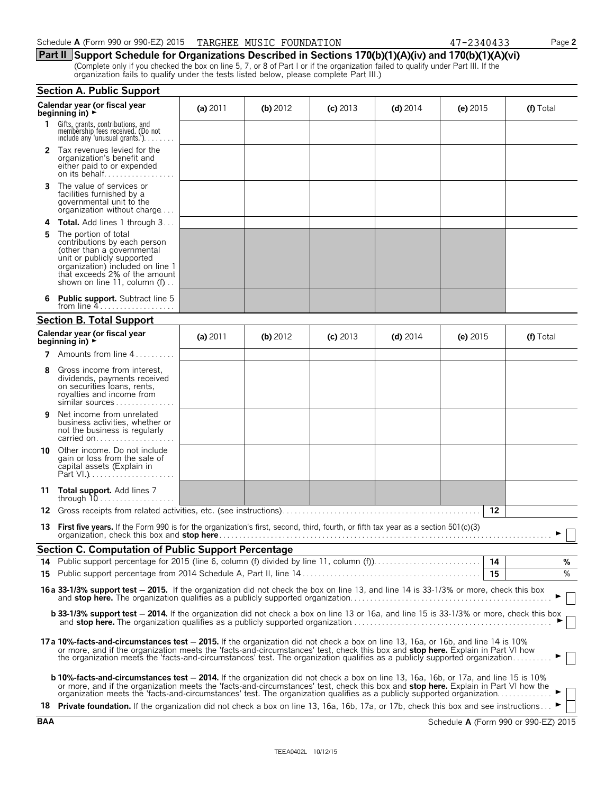**Part II Support Schedule for Organizations Described in Sections 170(b)(1)(A)(iv) and 170(b)(1)(A)(vi)** (Complete only if you checked the box on line 5, 7, or 8 of Part I or if the organization failed to qualify under Part III. If the organization fails to qualify under the tests listed below, please complete Part III.)

|    | <b>Section A. Public Support</b>                                                                                                                                                                                                                                                                                                                                                                  |            |          |            |            |            |           |  |
|----|---------------------------------------------------------------------------------------------------------------------------------------------------------------------------------------------------------------------------------------------------------------------------------------------------------------------------------------------------------------------------------------------------|------------|----------|------------|------------|------------|-----------|--|
|    | Calendar year (or fiscal year<br>beginning in) $\rightarrow$                                                                                                                                                                                                                                                                                                                                      | (a) $2011$ | (b) 2012 | $(c)$ 2013 | $(d)$ 2014 | (e) $2015$ | (f) Total |  |
| 1  | Gifts, grants, contributions, and<br>membership fees received. (Do not<br>include any 'unusual grants.'). $\ldots$                                                                                                                                                                                                                                                                                |            |          |            |            |            |           |  |
|    | 2 Tax revenues levied for the<br>organization's benefit and<br>either paid to or expended                                                                                                                                                                                                                                                                                                         |            |          |            |            |            |           |  |
| 3  | The value of services or<br>facilities furnished by a<br>governmental unit to the<br>organization without charge                                                                                                                                                                                                                                                                                  |            |          |            |            |            |           |  |
| 4  | <b>Total.</b> Add lines 1 through 3                                                                                                                                                                                                                                                                                                                                                               |            |          |            |            |            |           |  |
| 5  | The portion of total<br>contributions by each person<br>(other than a governmental<br>unit or publicly supported<br>organization) included on line 1<br>that exceeds 2% of the amount<br>shown on line 11, column $(f)$                                                                                                                                                                           |            |          |            |            |            |           |  |
|    | Public support. Subtract line 5<br>from line $4$                                                                                                                                                                                                                                                                                                                                                  |            |          |            |            |            |           |  |
|    | <b>Section B. Total Support</b>                                                                                                                                                                                                                                                                                                                                                                   |            |          |            |            |            |           |  |
|    | Calendar year (or fiscal year<br>beginning in) $\rightarrow$                                                                                                                                                                                                                                                                                                                                      | (a) $2011$ | (b) 2012 | $(c)$ 2013 | $(d)$ 2014 | (e) $2015$ | (f) Total |  |
| 7  | Amounts from line 4                                                                                                                                                                                                                                                                                                                                                                               |            |          |            |            |            |           |  |
| 8  | Gross income from interest,<br>dividends, payments received<br>on securities loans, rents,<br>royalties and income from<br>similar sources                                                                                                                                                                                                                                                        |            |          |            |            |            |           |  |
| 9  | Net income from unrelated<br>business activities, whether or<br>not the business is regularly<br>carried on                                                                                                                                                                                                                                                                                       |            |          |            |            |            |           |  |
| 10 | Other income. Do not include<br>gain or loss from the sale of<br>capital assets (Explain in                                                                                                                                                                                                                                                                                                       |            |          |            |            |            |           |  |
| 11 | <b>Total support.</b> Add lines 7                                                                                                                                                                                                                                                                                                                                                                 |            |          |            |            |            |           |  |
| 12 |                                                                                                                                                                                                                                                                                                                                                                                                   |            |          |            |            | 12         |           |  |
| 13 | <b>First five years.</b> If the Form 990 is for the organization's first, second, third, fourth, or fifth tax year as a section $501(c)(3)$<br>organization, check this box and stop here.                                                                                                                                                                                                        |            |          |            |            |            |           |  |
|    | Section C. Computation of Public Support Percentage                                                                                                                                                                                                                                                                                                                                               |            |          |            |            |            |           |  |
|    |                                                                                                                                                                                                                                                                                                                                                                                                   |            |          |            |            | 14         | %         |  |
|    |                                                                                                                                                                                                                                                                                                                                                                                                   |            |          |            |            | 15         | $\%$      |  |
|    | 16a 33-1/3% support test - 2015. If the organization did not check the box on line 13, and line 14 is 33-1/3% or more, check this box                                                                                                                                                                                                                                                             |            |          |            |            |            |           |  |
|    | <b>b 33-1/3% support test - 2014.</b> If the organization did not check a box on line 13 or 16a, and line 15 is 33-1/3% or more, check this box                                                                                                                                                                                                                                                   |            |          |            |            |            |           |  |
|    | 17a 10%-facts-and-circumstances test - 2015. If the organization did not check a box on line 13, 16a, or 16b, and line 14 is 10%<br>or more, and if the organization meets the 'facts-and-circumstances' test, check this box and stop here. Explain in Part VI how<br>the organization meets the 'facts-and-circumstances' test. The organization qualifies as a publicly supported organization |            |          |            |            |            |           |  |
|    | <b>b 10%-facts-and-circumstances test – 2014.</b> If the organization did not check a box on line 13, 16a, 16b, or 17a, and line 15 is 10%<br>or more, and if the organization meets the 'facts-and-circumstances' test, check this box and stop here. Explain in Part VI how the                                                                                                                 |            |          |            |            |            |           |  |
|    | 18 Private foundation. If the organization did not check a box on line 13, 16a, 16b, 17a, or 17b, check this box and see instructions                                                                                                                                                                                                                                                             |            |          |            |            |            |           |  |

**BAA** Schedule **A** (Form 990 or 990-EZ) 2015

| r |  |
|---|--|

|  | 340433 |  |  |  |  |  |  |
|--|--------|--|--|--|--|--|--|
|--|--------|--|--|--|--|--|--|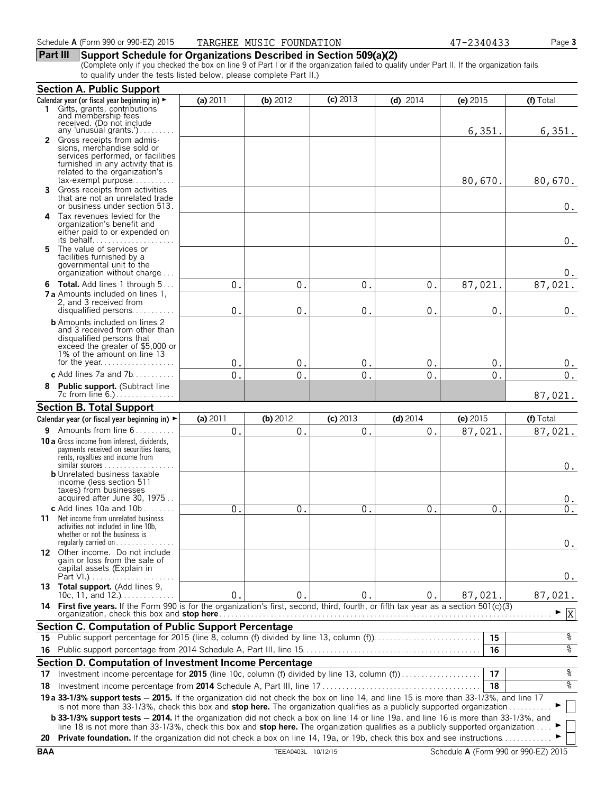#### **Part III Support Schedule for Organizations Described in Section 509(a)(2)**

(Complete only if you checked the box on line 9 of Part I or if the organization failed to qualify under Part II. If the organization fails to qualify under the tests listed below, please complete Part II.)

|     | <b>Section A. Public Support</b>                                                                                                                                                                                                                                                |                |                  |               |               |               |           |
|-----|---------------------------------------------------------------------------------------------------------------------------------------------------------------------------------------------------------------------------------------------------------------------------------|----------------|------------------|---------------|---------------|---------------|-----------|
|     | Calendar year (or fiscal year beginning in) ►                                                                                                                                                                                                                                   | (a) 2011       | (b) 2012         | $(c)$ 2013    | $(d)$ 2014    | (e) 2015      | (f) Total |
| 1.  | Gifts, grants, contributions<br>and membership fees<br>received. (Do not include<br>any 'unusual grants.')                                                                                                                                                                      |                |                  |               |               | 6,351.        | 6,351.    |
|     | 2 Gross receipts from admis-<br>sions, merchandise sold or<br>services performed, or facilities<br>furnished in any activity that is<br>related to the organization's<br>$tax\text{-}exempt$ purpose                                                                            |                |                  |               |               | 80,670.       | 80,670.   |
| 3   | Gross receipts from activities<br>that are not an unrelated trade<br>or business under section 513.                                                                                                                                                                             |                |                  |               |               |               | $0$ .     |
|     | 4 Tax revenues levied for the<br>organization's benefit and<br>either paid to or expended on<br>its behalf                                                                                                                                                                      |                |                  |               |               |               | $0$ .     |
| 5.  | The value of services or<br>facilities furnished by a<br>governmental unit to the<br>organization without charge                                                                                                                                                                |                |                  |               |               |               | 0.        |
|     | 6 Total. Add lines 1 through 5                                                                                                                                                                                                                                                  | 0.             | 0.               | 0.            | 0.            | 87,021        | 87,021.   |
|     | <b>7 a</b> Amounts included on lines 1,<br>2, and 3 received from<br>disqualified persons                                                                                                                                                                                       | 0              | 0                | $\mathbf{0}$  | $\mathbf{0}$  | $\mathbf 0$ . | $0$ .     |
|     | <b>b</b> Amounts included on lines 2<br>and 3 received from other than<br>disqualified persons that<br>exceed the greater of \$5,000 or<br>1% of the amount on line 13                                                                                                          |                |                  |               |               |               |           |
|     |                                                                                                                                                                                                                                                                                 | $\mathbf{0}$   | $\mathbf{0}$     | $\mathbf 0$ . | $\mathbf 0$ . | 0.            | 0.        |
|     | c Add lines 7a and 7b                                                                                                                                                                                                                                                           | 0.             | $\overline{0}$ . | $\Omega$ .    | 0.            | $\Omega$ .    | $0$ .     |
|     | 8 Public support. (Subtract line<br>7c from line 6.)                                                                                                                                                                                                                            |                |                  |               |               |               | 87,021.   |
|     | <b>Section B. Total Support</b>                                                                                                                                                                                                                                                 |                |                  |               |               |               |           |
|     | Calendar year (or fiscal year beginning in) ►                                                                                                                                                                                                                                   | (a) $2011$     | $(b)$ 2012       | $(c)$ 2013    | $(d)$ 2014    | (e) 2015      | (f) Total |
|     | 9 Amounts from line 6                                                                                                                                                                                                                                                           | 0.             | 0.               | 0.            | 0.            | 87,021.       | 87,021.   |
|     | <b>10 a</b> Gross income from interest, dividends,<br>payments received on securities loans,<br>rents, royalties and income from                                                                                                                                                |                |                  |               |               |               | $0$ .     |
|     | <b>b</b> Unrelated business taxable<br>income (less section 511<br>taxes) from businesses<br>acquired after June 30, 1975                                                                                                                                                       |                |                  |               |               |               | 0.        |
|     | c Add lines $10a$ and $10b$                                                                                                                                                                                                                                                     | 0 <sub>1</sub> | 0.               | $\mathbf{0}$  | 0.            | 0             | $0$ .     |
|     | <b>11</b> Net income from unrelated business<br>activities not included in line 10b,<br>whether or not the business is<br>regularly carried on $\dots\dots\dots\dots\dots$                                                                                                      |                |                  |               |               |               | 0.        |
|     | 12 Other income. Do not include<br>gain or loss from the sale of<br>capital assets (Explain in                                                                                                                                                                                  |                |                  |               |               |               | 0.        |
|     | 13 Total support. (Add lines 9,<br>10c, 11, and $12.$ )                                                                                                                                                                                                                         | $\mathbf 0$    | $0$ .            | 0.            | 0.            | 87,021.       | 87,021.   |
|     | 14 First five years. If the Form 990 is for the organization's first, second, third, fourth, or fifth tax year as a section 501(c)(3)                                                                                                                                           |                |                  |               |               |               | X<br>▶    |
|     | <b>Section C. Computation of Public Support Percentage</b>                                                                                                                                                                                                                      |                |                  |               |               |               |           |
| 15. | Public support percentage for 2015 (line 8, column (f) divided by line 13, column (f)                                                                                                                                                                                           |                |                  |               |               | 15            | ್ಠಿ       |
| 16  |                                                                                                                                                                                                                                                                                 |                |                  |               |               | 16            | နွ        |
|     | Section D. Computation of Investment Income Percentage                                                                                                                                                                                                                          |                |                  |               |               |               |           |
| 17  | Investment income percentage for 2015 (line 10c, column (f) divided by line 13, column (f)                                                                                                                                                                                      |                |                  |               |               | 17            | နွ        |
| 18  |                                                                                                                                                                                                                                                                                 |                |                  |               |               | 18            | နွ        |
|     | 19 a 33-1/3% support tests - 2015. If the organization did not check the box on line 14, and line 15 is more than 33-1/3%, and line 17<br>is not more than 33-1/3%, check this box and stop here. The organization qualifies as a publicly supported organization               |                |                  |               |               |               |           |
|     | <b>b 33-1/3% support tests - 2014.</b> If the organization did not check a box on line 14 or line 19a, and line 16 is more than 33-1/3%, and<br>line 18 is not more than 33-1/3%, check this box and stop here. The organization qualifies as a publicly supported organization |                |                  |               |               |               |           |
|     | 20 Private foundation. If the organization did not check a box on line 14, 19a, or 19b, check this box and see instructions                                                                                                                                                     |                |                  |               |               |               |           |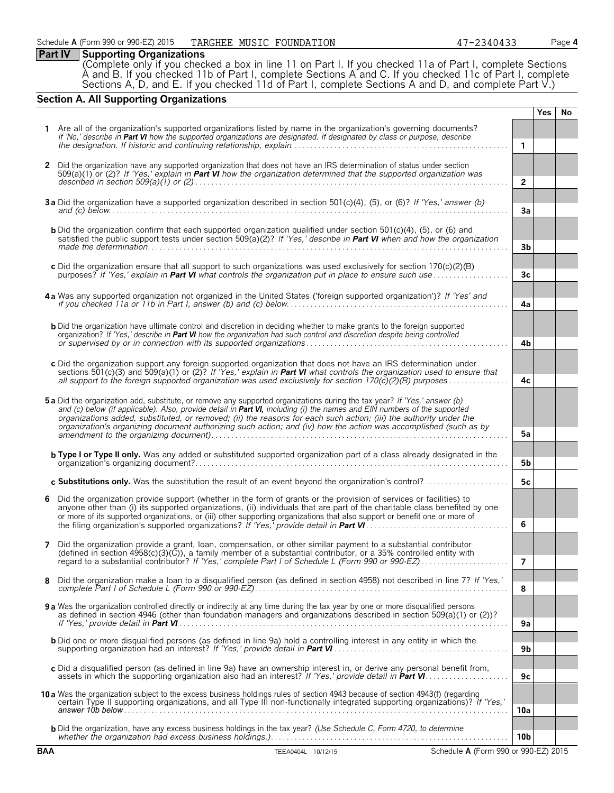**Part IV Supporting Organizations** (Complete only if you checked a box in line 11 on Part I. If you checked 11a of Part I, complete Sections A and B. If you checked 11b of Part I, complete Sections A and C. If you checked 11c of Part I, complete Sections A, D, and E. If you checked 11d of Part I, complete Sections A and D, and complete Part V.)

# **Section A. All Supporting Organizations**

|              |                                                                                                                                                                                                                                                              |                 | <b>Yes</b> | No |
|--------------|--------------------------------------------------------------------------------------------------------------------------------------------------------------------------------------------------------------------------------------------------------------|-----------------|------------|----|
|              | Are all of the organization's supported organizations listed by name in the organization's governing documents?                                                                                                                                              |                 |            |    |
|              | If 'No,' describe in Part VI how the supported organizations are designated. If designated by class or purpose, describe                                                                                                                                     | $\mathbf{1}$    |            |    |
|              |                                                                                                                                                                                                                                                              |                 |            |    |
| $\mathbf{2}$ | Did the organization have any supported organization that does not have an IRS determination of status under section                                                                                                                                         |                 |            |    |
|              | 509(a)(1) or (2)? If 'Yes,' explain in <b>Part VI</b> how the organization determined that the supported organization was                                                                                                                                    | $\overline{2}$  |            |    |
|              |                                                                                                                                                                                                                                                              |                 |            |    |
|              | 3a Did the organization have a supported organization described in section 501(c)(4), (5), or (6)? If 'Yes,' answer (b)                                                                                                                                      |                 |            |    |
|              | and (c) below $\ldots$ $\ldots$ $\ldots$ $\ldots$ $\ldots$ $\ldots$ $\ldots$ $\ldots$ $\ldots$ $\ldots$ $\ldots$ $\ldots$ $\ldots$ $\ldots$ $\ldots$                                                                                                         | 3a              |            |    |
|              | <b>b</b> Did the organization confirm that each supported organization qualified under section $501(c)(4)$ , $(5)$ , or $(6)$ and                                                                                                                            |                 |            |    |
|              | satisfied the public support tests under section 509(a)(2)? If 'Yes,' describe in Part VI when and how the organization                                                                                                                                      | 3b              |            |    |
|              |                                                                                                                                                                                                                                                              |                 |            |    |
|              | c Did the organization ensure that all support to such organizations was used exclusively for section 170(c)(2)(B)                                                                                                                                           | 3 <sub>c</sub>  |            |    |
|              | purposes? If 'Yes,' explain in <b>Part VI</b> what controls the organization put in place to ensure such use                                                                                                                                                 |                 |            |    |
|              | 4a Was any supported organization not organized in the United States ('foreign supported organization')? If 'Yes' and                                                                                                                                        |                 |            |    |
|              |                                                                                                                                                                                                                                                              | 4a              |            |    |
|              |                                                                                                                                                                                                                                                              |                 |            |    |
|              | <b>b</b> Did the organization have ultimate control and discretion in deciding whether to make grants to the foreign supported<br>organization? If 'Yes,' describe in Part VI how the organization had such control and discretion despite being controlled  |                 |            |    |
|              |                                                                                                                                                                                                                                                              | 4b              |            |    |
|              | c Did the organization support any foreign supported organization that does not have an IRS determination under                                                                                                                                              |                 |            |    |
|              | sections 501(c)(3) and 509(a)(1) or (2)? If 'Yes,' explain in <b>Part VI</b> what controls the organization used to ensure that                                                                                                                              |                 |            |    |
|              | all support to the foreign supported organization was used exclusively for section $170(\tilde{c})(2)(B)$ purposes                                                                                                                                           | 4c              |            |    |
|              | 5a Did the organization add, substitute, or remove any supported organizations during the tax year? If 'Yes,' answer (b)                                                                                                                                     |                 |            |    |
|              | and (c) below (if applicable). Also, provide detail in Part VI, including (i) the names and EIN numbers of the supported                                                                                                                                     |                 |            |    |
|              | organizations added, substituted, or removed; (ii) the reasons for each such action; (iii) the authority under the<br>organization's organizing document authorizing such action; and (iv) how the action was accomplished (such as by                       |                 |            |    |
|              |                                                                                                                                                                                                                                                              | 5a              |            |    |
|              | <b>b Type I or Type II only.</b> Was any added or substituted supported organization part of a class already designated in the                                                                                                                               |                 |            |    |
|              |                                                                                                                                                                                                                                                              | 5b              |            |    |
|              | c Substitutions only. Was the substitution the result of an event beyond the organization's control?                                                                                                                                                         | 5c              |            |    |
|              |                                                                                                                                                                                                                                                              |                 |            |    |
| 6            | Did the organization provide support (whether in the form of grants or the provision of services or facilities) to<br>anyone other than (i) its supported organizations, (ii) individuals that are part of the charitable class benefited by one             |                 |            |    |
|              | or more of its supported organizations, or (iii) other supporting organizations that also support or benefit one or more of                                                                                                                                  |                 |            |    |
|              |                                                                                                                                                                                                                                                              | 6               |            |    |
| 7            | Did the organization provide a grant, loan, compensation, or other similar payment to a substantial contributor                                                                                                                                              |                 |            |    |
|              | (defined in section $4958(c)(3)(\bar{C})$ ), a family member of a substantial contributor, or a 35% controlled entity with                                                                                                                                   |                 |            |    |
|              |                                                                                                                                                                                                                                                              | 7               |            |    |
| 8            | Did the organization make a loan to a disqualified person (as defined in section 4958) not described in line 7? If 'Yes,'                                                                                                                                    |                 |            |    |
|              |                                                                                                                                                                                                                                                              | 8               |            |    |
|              | <b>9 a</b> Was the organization controlled directly or indirectly at any time during the tax year by one or more disqualified persons                                                                                                                        |                 |            |    |
|              | as defined in section 4946 (other than foundation managers and organizations described in section 509(a)(1) or (2))?                                                                                                                                         | 9a              |            |    |
|              |                                                                                                                                                                                                                                                              |                 |            |    |
|              | <b>b</b> Did one or more disqualified persons (as defined in line 9a) hold a controlling interest in any entity in which the                                                                                                                                 | 9 <sub>b</sub>  |            |    |
|              |                                                                                                                                                                                                                                                              |                 |            |    |
|              | c Did a disqualified person (as defined in line 9a) have an ownership interest in, or derive any personal benefit from,                                                                                                                                      | 9c              |            |    |
|              |                                                                                                                                                                                                                                                              |                 |            |    |
|              | 10 a Was the organization subject to the excess business holdings rules of section 4943 because of section 4943(f) (regarding<br>certain Type II supporting organizations, and all Type III non-functionally integrated supporting organizations)? If 'Yes,' |                 |            |    |
|              |                                                                                                                                                                                                                                                              | 10a             |            |    |
|              | <b>b</b> Did the organization, have any excess business holdings in the tax year? (Use Schedule C, Form 4720, to determine                                                                                                                                   |                 |            |    |
|              |                                                                                                                                                                                                                                                              | 10 <sub>b</sub> |            |    |
| <b>BAA</b>   | Schedule A (Form 990 or 990-EZ) 2015<br>TEEA0404L 10/12/15                                                                                                                                                                                                   |                 |            |    |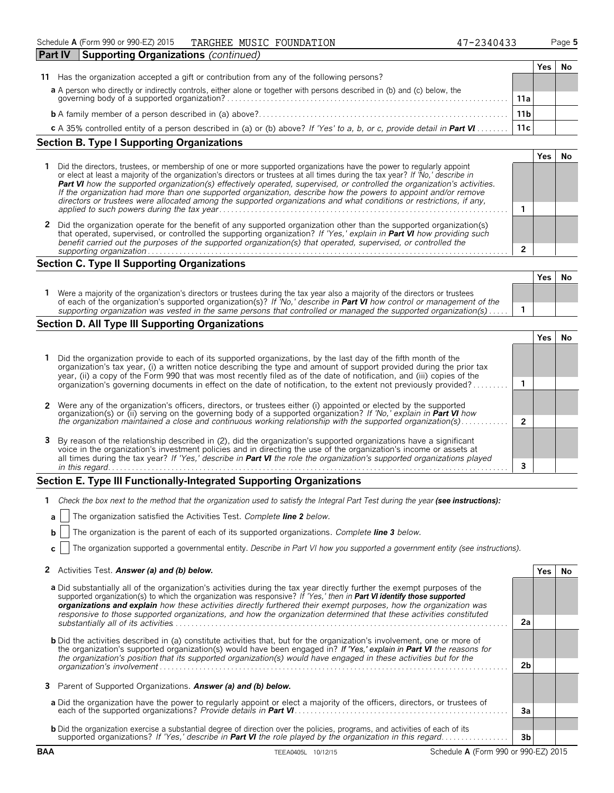| <b>Part IV</b> | Supporting Organizations (continued)                                                                                                                                  |     |  |
|----------------|-----------------------------------------------------------------------------------------------------------------------------------------------------------------------|-----|--|
|                |                                                                                                                                                                       | res |  |
| 11             | Has the organization accepted a gift or contribution from any of the following persons?                                                                               |     |  |
|                |                                                                                                                                                                       |     |  |
|                | a A person who directly or indirectly controls, either alone or together with persons described in (b) and (c) below, the governing body of a supported organization? |     |  |
|                |                                                                                                                                                                       |     |  |
|                | 11c<br>c A 35% controlled entity of a person described in (a) or (b) above? If 'Yes' to a, b, or c, provide detail in Part VI                                         |     |  |
|                |                                                                                                                                                                       |     |  |

# **Section B. Type I Supporting Organizations**

| Did the directors, trustees, or membership of one or more supported organizations have the power to regularly appoint<br>or elect at least a majority of the organization's directors or trustees at all times during the tax year? If 'No,' describe in<br>Part VI how the supported organization(s) effectively operated, supervised, or controlled the organization's activities.<br>If the organization had more than one supported organization, describe how the powers to appoint and/or remove<br>directors or trustees were allocated among the supported organizations and what conditions or restrictions, if any, |  |  |  |
|-------------------------------------------------------------------------------------------------------------------------------------------------------------------------------------------------------------------------------------------------------------------------------------------------------------------------------------------------------------------------------------------------------------------------------------------------------------------------------------------------------------------------------------------------------------------------------------------------------------------------------|--|--|--|
|                                                                                                                                                                                                                                                                                                                                                                                                                                                                                                                                                                                                                               |  |  |  |
| Did the organization operate for the benefit of any supported organization other than the supported organization(s)<br>that operated, supervised, or controlled the supporting organization? If 'Yes,' explain in <b>Part VI</b> how providing such<br>benefit carried out the purposes of the supported organization(s) that operated, supervised, or controlled the                                                                                                                                                                                                                                                         |  |  |  |
| supporting organization                                                                                                                                                                                                                                                                                                                                                                                                                                                                                                                                                                                                       |  |  |  |

# **Section C. Type II Supporting Organizations**

| Were a majority of the organization's directors or trustees during the tax year also a majority of the directors or trustees |                                                                                                                               | Yes | .Nc |
|------------------------------------------------------------------------------------------------------------------------------|-------------------------------------------------------------------------------------------------------------------------------|-----|-----|
|                                                                                                                              | of each of the organization's supported organization(s)? If 'No,' describe in <b>Part VI</b> how control or management of the |     |     |
| supporting organization was vested in the same persons that controlled or managed the supported organization(s)              |                                                                                                                               |     |     |

# **Section D. All Type III Supporting Organizations**

| Did the organization provide to each of its supported organizations, by the last day of the fifth month of the<br>organization's tax year, (i) a written notice describing the type and amount of support provided during the prior tax<br>year, (ii) a copy of the Form 990 that was most recently filed as of the date of notification, and (iii) copies of the           |  |  |  |  |
|-----------------------------------------------------------------------------------------------------------------------------------------------------------------------------------------------------------------------------------------------------------------------------------------------------------------------------------------------------------------------------|--|--|--|--|
| organization's governing documents in effect on the date of notification, to the extent not previously provided?                                                                                                                                                                                                                                                            |  |  |  |  |
|                                                                                                                                                                                                                                                                                                                                                                             |  |  |  |  |
| 2 Were any of the organization's officers, directors, or trustees either (i) appointed or elected by the supported<br>organization(s) or (ii) serving on the governing body of a supported organization? If 'No,' explain in Part VI how                                                                                                                                    |  |  |  |  |
| the organization maintained a close and continuous working relationship with the supported organization(s)                                                                                                                                                                                                                                                                  |  |  |  |  |
| 3 By reason of the relationship described in (2), did the organization's supported organizations have a significant<br>voice in the organization's investment policies and in directing the use of the organization's income or assets at<br>all times during the tax year? If 'Yes,' describe in <b>Part VI</b> the role the organization's supported organizations played |  |  |  |  |
| in this regard.                                                                                                                                                                                                                                                                                                                                                             |  |  |  |  |

#### **Section E. Type III Functionally-Integrated Supporting Organizations**

| Check the box next to the method that the organization used to satisfy the Integral Part Test during the year (see instructions): |  |  |
|-----------------------------------------------------------------------------------------------------------------------------------|--|--|
|                                                                                                                                   |  |  |

- **a** The organization satisfied the Activities Test. *Complete line 2 below.*
- **b** The organization is the parent of each of its supported organizations. *Complete line 3 below.*
- **c** The organization supported a governmental entity. *Describe in Part VI how you supported a government entity (see instructions).*

#### **2** Activities Test. *Answer (a) and (b) below.* **Yes No**

|                                                                                                                                                                                                                                                                                                                                                                                                                                                                                                             |    | 153 | 11 V |
|-------------------------------------------------------------------------------------------------------------------------------------------------------------------------------------------------------------------------------------------------------------------------------------------------------------------------------------------------------------------------------------------------------------------------------------------------------------------------------------------------------------|----|-----|------|
| <b>a</b> Did substantially all of the organization's activities during the tax year directly further the exempt purposes of the<br>supported organization(s) to which the organization was responsive? If 'Yes,' then in <b>Part VI identify those supported</b><br>organizations and explain how these activities directly furthered their exempt purposes, how the organization was<br>responsive to those supported organizations, and how the organization determined that these activities constituted |    |     |      |
|                                                                                                                                                                                                                                                                                                                                                                                                                                                                                                             | 2a |     |      |
| <b>b</b> Did the activities described in (a) constitute activities that, but for the organization's involvement, one or more of<br>the organization's supported organization(s) would have been engaged in? If 'Yes,' explain in Part VI the reasons for<br>the organization's position that its supported organization(s) would have engaged in these activities but for the                                                                                                                               |    |     |      |
| organization's involvement                                                                                                                                                                                                                                                                                                                                                                                                                                                                                  |    |     |      |
| 3 Parent of Supported Organizations. Answer (a) and (b) below.                                                                                                                                                                                                                                                                                                                                                                                                                                              |    |     |      |
|                                                                                                                                                                                                                                                                                                                                                                                                                                                                                                             |    |     |      |
| a Did the organization have the power to regularly appoint or elect a majority of the officers, directors, or trustees of                                                                                                                                                                                                                                                                                                                                                                                   |    |     |      |
|                                                                                                                                                                                                                                                                                                                                                                                                                                                                                                             | 3a |     |      |
| <b>b</b> Did the organization exercise a substantial degree of direction over the policies, programs, and activities of each of its                                                                                                                                                                                                                                                                                                                                                                         |    |     |      |
| supported organizations? If 'Yes,' describe in Part VI the role played by the organization in this regard.                                                                                                                                                                                                                                                                                                                                                                                                  | 3b |     |      |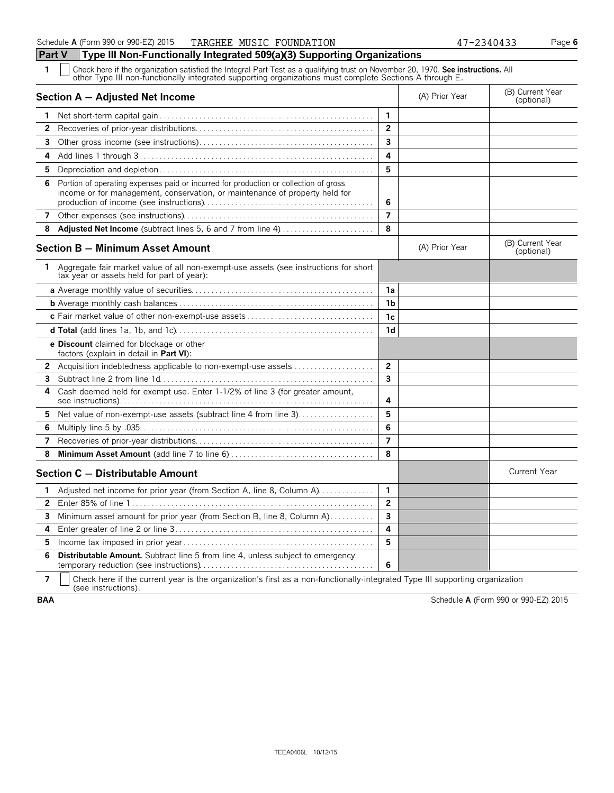**1** Check here if the organization satisfied the Integral Part Test as a qualifying trust on November 20, 1970. **See instructions.** All other Type III non-functionally integrated supporting organizations must complete Sections A through E.

|                | Section A - Adjusted Net Income                                                                                                                                     |                         | (A) Prior Year | (B) Current Year<br>(optional) |
|----------------|---------------------------------------------------------------------------------------------------------------------------------------------------------------------|-------------------------|----------------|--------------------------------|
| 1              |                                                                                                                                                                     | $\mathbf{1}$            |                |                                |
| 2              |                                                                                                                                                                     | $\overline{2}$          |                |                                |
| 3              |                                                                                                                                                                     | 3                       |                |                                |
| 4              |                                                                                                                                                                     | 4                       |                |                                |
| 5              |                                                                                                                                                                     | 5                       |                |                                |
| 6              | Portion of operating expenses paid or incurred for production or collection of gross<br>income or for management, conservation, or maintenance of property held for | 6                       |                |                                |
| 7              |                                                                                                                                                                     | $\overline{7}$          |                |                                |
| 8              | <b>Adjusted Net Income</b> (subtract lines 5, 6 and 7 from line 4)                                                                                                  | 8                       |                |                                |
|                | <b>Section B - Minimum Asset Amount</b>                                                                                                                             |                         | (A) Prior Year | (B) Current Year<br>(optional) |
| 1.             | Aggregate fair market value of all non-exempt-use assets (see instructions for short<br>tax year or assets held for part of year):                                  |                         |                |                                |
|                |                                                                                                                                                                     | 1a                      |                |                                |
|                |                                                                                                                                                                     | 1b                      |                |                                |
|                |                                                                                                                                                                     | 1c                      |                |                                |
|                |                                                                                                                                                                     | 1 <sub>d</sub>          |                |                                |
|                | e Discount claimed for blockage or other<br>factors (explain in detail in Part VI):                                                                                 |                         |                |                                |
| 2              | Acquisition indebtedness applicable to non-exempt-use assets                                                                                                        | $\overline{2}$          |                |                                |
| 3              |                                                                                                                                                                     | $\overline{\mathbf{3}}$ |                |                                |
| 4              | Cash deemed held for exempt use. Enter 1-1/2% of line 3 (for greater amount,                                                                                        | 4                       |                |                                |
| 5              | Net value of non-exempt-use assets (subtract line 4 from line 3)                                                                                                    | 5                       |                |                                |
| 6              |                                                                                                                                                                     | 6                       |                |                                |
| 7              |                                                                                                                                                                     | $\overline{7}$          |                |                                |
| 8              |                                                                                                                                                                     | 8                       |                |                                |
|                | Section C - Distributable Amount                                                                                                                                    |                         |                | <b>Current Year</b>            |
| 1              | Adjusted net income for prior year (from Section A, line 8, Column A)                                                                                               | $\mathbf{1}$            |                |                                |
| $\overline{2}$ |                                                                                                                                                                     | $\overline{2}$          |                |                                |
| 3              | Minimum asset amount for prior year (from Section B, line 8, Column A)                                                                                              | 3                       |                |                                |
| 4              |                                                                                                                                                                     | 4                       |                |                                |
| 5.             |                                                                                                                                                                     | 5                       |                |                                |
| 6              | <b>Distributable Amount.</b> Subtract line 5 from line 4, unless subject to emergency                                                                               | 6                       |                |                                |

**7**  $\mid$  Check here if the current year is the organization's first as a non-functionally-integrated Type III supporting organization (see instructions).

**BAA** Schedule **A** (Form 990 or 990-EZ) 2015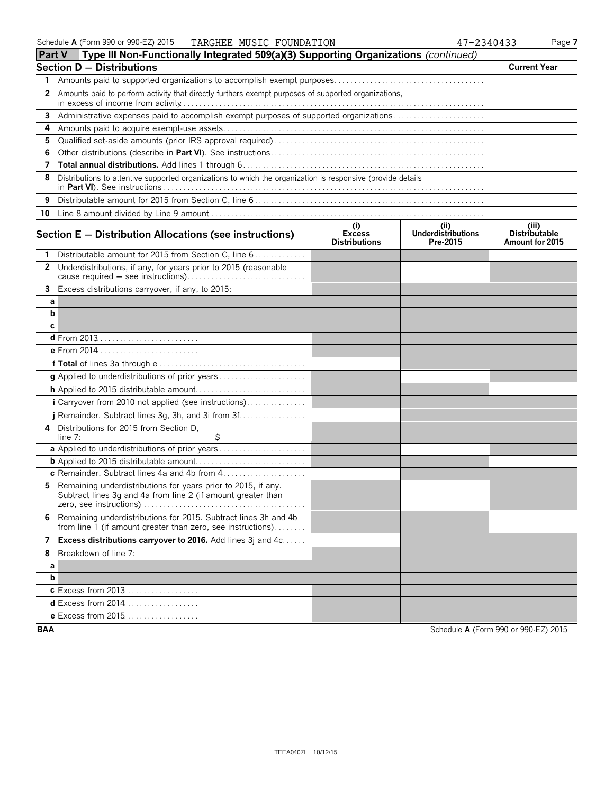|              | Part V  Type III Non-Functionally Integrated 509(a)(3) Supporting Organizations <i>(continued)</i>                               |                                              |                                        |                                                  |
|--------------|----------------------------------------------------------------------------------------------------------------------------------|----------------------------------------------|----------------------------------------|--------------------------------------------------|
|              | Section D - Distributions                                                                                                        |                                              |                                        | <b>Current Year</b>                              |
| 1            |                                                                                                                                  |                                              |                                        |                                                  |
| $\mathbf{2}$ | Amounts paid to perform activity that directly furthers exempt purposes of supported organizations,                              |                                              |                                        |                                                  |
| 3            | Administrative expenses paid to accomplish exempt purposes of supported organizations                                            |                                              |                                        |                                                  |
| 4            |                                                                                                                                  |                                              |                                        |                                                  |
| 5            |                                                                                                                                  |                                              |                                        |                                                  |
| 6            |                                                                                                                                  |                                              |                                        |                                                  |
| 7            |                                                                                                                                  |                                              |                                        |                                                  |
| 8            | Distributions to attentive supported organizations to which the organization is responsive (provide details                      |                                              |                                        |                                                  |
| 9            |                                                                                                                                  |                                              |                                        |                                                  |
|              |                                                                                                                                  |                                              |                                        |                                                  |
|              | Section $E -$ Distribution Allocations (see instructions)                                                                        | (i)<br><b>Excess</b><br><b>Distributions</b> | (ii)<br>Underdistributions<br>Pre-2015 | (iii)<br><b>Distributable</b><br>Amount for 2015 |
|              | Distributable amount for 2015 from Section C, line 6                                                                             |                                              |                                        |                                                  |
| $\mathbf{2}$ | Underdistributions, if any, for years prior to 2015 (reasonable                                                                  |                                              |                                        |                                                  |
| $\mathbf{3}$ | Excess distributions carryover, if any, to 2015:                                                                                 |                                              |                                        |                                                  |
| а            |                                                                                                                                  |                                              |                                        |                                                  |
| b            |                                                                                                                                  |                                              |                                        |                                                  |
| с            |                                                                                                                                  |                                              |                                        |                                                  |
|              | <b>d</b> From 2013                                                                                                               |                                              |                                        |                                                  |
|              |                                                                                                                                  |                                              |                                        |                                                  |
|              |                                                                                                                                  |                                              |                                        |                                                  |
|              |                                                                                                                                  |                                              |                                        |                                                  |
|              |                                                                                                                                  |                                              |                                        |                                                  |
|              | i Carryover from 2010 not applied (see instructions)                                                                             |                                              |                                        |                                                  |
|              | j Remainder. Subtract lines 3g, 3h, and 3i from 3f                                                                               |                                              |                                        |                                                  |
| 4            | Distributions for 2015 from Section D.<br>\$<br>line $7:$                                                                        |                                              |                                        |                                                  |
|              | a Applied to underdistributions of prior years                                                                                   |                                              |                                        |                                                  |
|              |                                                                                                                                  |                                              |                                        |                                                  |
|              | c Remainder. Subtract lines 4a and 4b from 4                                                                                     |                                              |                                        |                                                  |
| 5.           | Remaining underdistributions for years prior to 2015, if any.<br>Subtract lines 3g and 4a from line 2 (if amount greater than    |                                              |                                        |                                                  |
|              | 6 Remaining underdistributions for 2015. Subtract lines 3h and 4b<br>from line 1 (if amount greater than zero, see instructions) |                                              |                                        |                                                  |
| 7            | Excess distributions carryover to 2016. Add lines 3j and 4c                                                                      |                                              |                                        |                                                  |
| 8            | Breakdown of line 7:                                                                                                             |                                              |                                        |                                                  |
| а            |                                                                                                                                  |                                              |                                        |                                                  |
| b            |                                                                                                                                  |                                              |                                        |                                                  |
|              | c Excess from 2013.                                                                                                              |                                              |                                        |                                                  |
|              | d Excess from 2014                                                                                                               |                                              |                                        |                                                  |
|              | e Excess from 2015                                                                                                               |                                              |                                        |                                                  |

**BAA** Schedule **A** (Form 990 or 990-EZ) 2015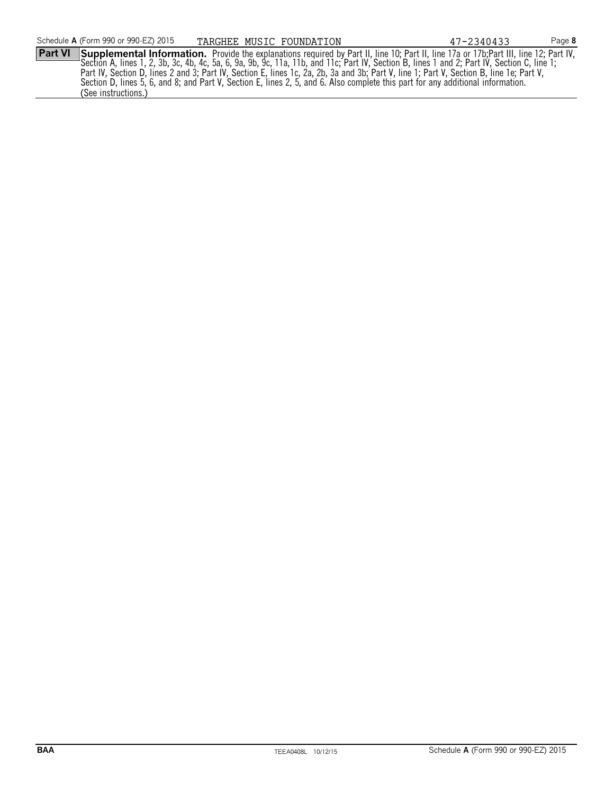Part VI Supplemental Information. Provide the explanations required by Part II, line 10; Part II, line 17a or 17b;Part III, line 12; Part IV,<br>Section A, lines 1, 2, 3b, 3c, 4b, 4c, 5a, 6, 9a, 9b, 9c, 11a, 11b, and 11c; Par Part IV, Section D, lines 2 and 3; Part IV, Section E, lines 1c, 2a, 2b, 3a and 3b; Part V, line 1; Part V, Section B, line 1e; Part V, Section D, lines 5, 6, and 8; and Part V, Section E, lines 2, 5, and 6. Also complete this part for any additional information. (See instructions.) TARGHEE MUSIC FOUNDATION 47-2340433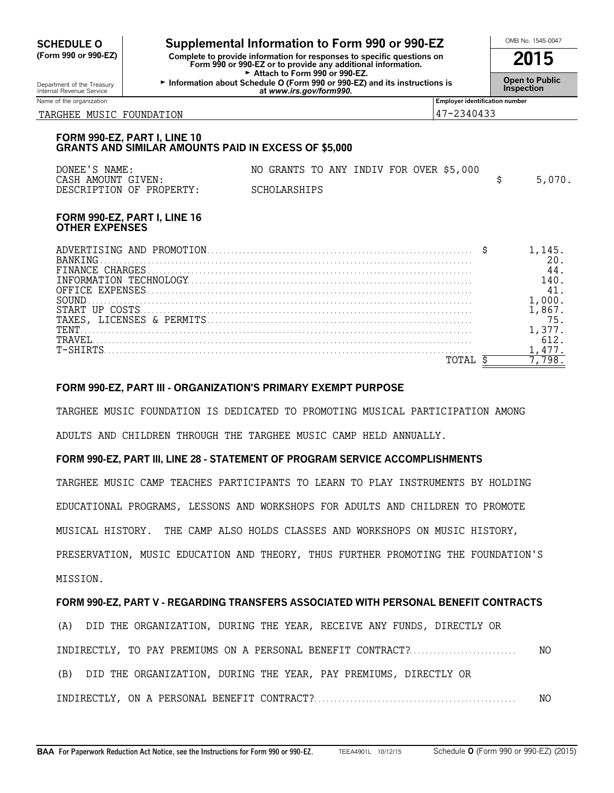| <b>SCHEDULE O</b>                                                                                                                                                                               |                                                                                             | Supplemental Information to Form 990 or 990-EZ                                                       |                                |                   | OMB No. 1545-0047     |
|-------------------------------------------------------------------------------------------------------------------------------------------------------------------------------------------------|---------------------------------------------------------------------------------------------|------------------------------------------------------------------------------------------------------|--------------------------------|-------------------|-----------------------|
| (Form 990 or 990-EZ)<br>Complete to provide information for responses to specific questions on<br>Form 990 or 990-EZ or to provide any additional information.<br>Attach to Form 990 or 990-EZ. |                                                                                             |                                                                                                      |                                |                   | 2015                  |
| Department of the Treasury<br>Internal Revenue Service                                                                                                                                          |                                                                                             | Information about Schedule O (Form 990 or 990-EZ) and its instructions is<br>at www.irs.gov/form990. |                                | <b>Inspection</b> | <b>Open to Public</b> |
| Name of the organization                                                                                                                                                                        |                                                                                             |                                                                                                      | Employer identification number |                   |                       |
| 47-2340433<br>TARGHEE MUSIC FOUNDATION                                                                                                                                                          |                                                                                             |                                                                                                      |                                |                   |                       |
|                                                                                                                                                                                                 | FORM 990-EZ, PART I, LINE 10<br><b>GRANTS AND SIMILAR AMOUNTS PAID IN EXCESS OF \$5,000</b> |                                                                                                      |                                |                   |                       |
| DONEE'S NAME:<br>CASH AMOUNT GIVEN:                                                                                                                                                             |                                                                                             | NO GRANTS TO ANY INDIV FOR OVER \$5,000                                                              |                                |                   |                       |
|                                                                                                                                                                                                 | DESCRIPTION OF PROPERTY:                                                                    | SCHOLARSHIPS                                                                                         |                                | \$                | 5,070.                |
|                                                                                                                                                                                                 | FORM 990-EZ, PART I, LINE 16                                                                |                                                                                                      |                                |                   |                       |

#### **FORM 990-EZ, PART I, LINE 16 OTHER EXPENSES**

| 'NG.         |  |
|--------------|--|
| CHARGES      |  |
| ON.<br>I N H |  |
|              |  |
|              |  |
|              |  |
| TENT         |  |
| T-SHIRTS     |  |
|              |  |

# **FORM 990-EZ, PART III - ORGANIZATION'S PRIMARY EXEMPT PURPOSE**

TARGHEE MUSIC FOUNDATION IS DEDICATED TO PROMOTING MUSICAL PARTICIPATION AMONG ADULTS AND CHILDREN THROUGH THE TARGHEE MUSIC CAMP HELD ANNUALLY.

# **FORM 990-EZ, PART III, LINE 28 - STATEMENT OF PROGRAM SERVICE ACCOMPLISHMENTS**

TARGHEE MUSIC CAMP TEACHES PARTICIPANTS TO LEARN TO PLAY INSTRUMENTS BY HOLDING EDUCATIONAL PROGRAMS, LESSONS AND WORKSHOPS FOR ADULTS AND CHILDREN TO PROMOTE MUSICAL HISTORY. THE CAMP ALSO HOLDS CLASSES AND WORKSHOPS ON MUSIC HISTORY, PRESERVATION, MUSIC EDUCATION AND THEORY, THUS FURTHER PROMOTING THE FOUNDATION'S MISSION.

# **FORM 990-EZ, PART V - REGARDING TRANSFERS ASSOCIATED WITH PERSONAL BENEFIT CONTRACTS**

(A) DID THE ORGANIZATION, DURING THE YEAR, RECEIVE ANY FUNDS, DIRECTLY OR INDIRECTLY, TO PAY PREMIUMS ON A PERSONAL BENEFIT CONTRACT?. . . . . . . . . . . . . . . . . . . . . . . . . . . NO (B) DID THE ORGANIZATION, DURING THE YEAR, PAY PREMIUMS, DIRECTLY OR INDIRECTLY, ON A PERSONAL BENEFIT CONTRACT?. . . . . . . . . . . . . . . . . . . . . . . . . . . . . . . . . . . . . . . . . . . . . . . . . . . NO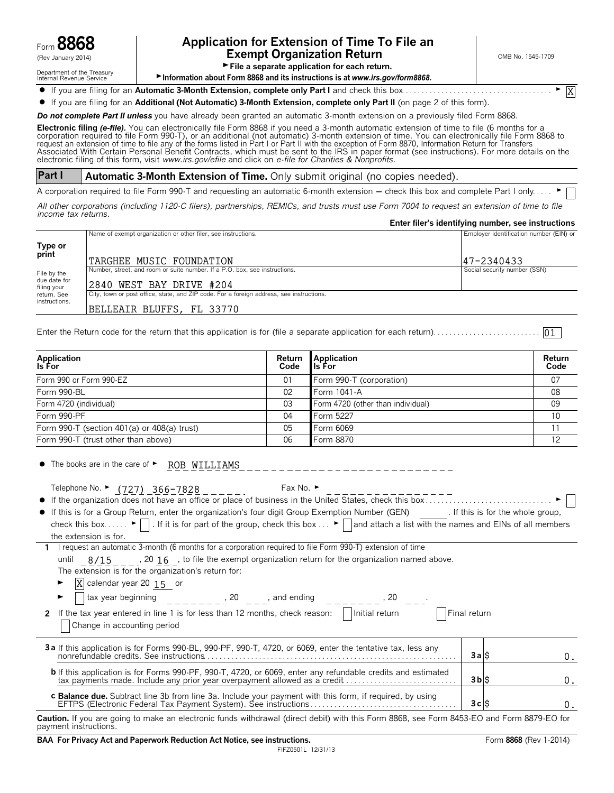

# Form **8868 Application for Extension of Time To File an**  $\mathcal{L}_{\text{new}}$  and  $\mathcal{L}_{\text{new}}$  and  $\mathcal{L}_{\text{new}}$  and  $\mathcal{L}_{\text{new}}$  and  $\mathcal{L}_{\text{new}}$  and  $\mathcal{L}_{\text{new}}$  and  $\mathcal{L}_{\text{new}}$  and  $\mathcal{L}_{\text{new}}$  and  $\mathcal{L}_{\text{new}}$  and  $\mathcal{L}_{\text{new}}$  and  $\mathcal{L}_{\text{new}}$  and  $\mathcal{L}_{\text{new}}$  and  $\mathcal{$

X

Department of the Treasury<br>Internal Revenue Service<br>Internal Revenue Service<br>**File a separate application for each return.** 

► Information about Form 8868 and its instructions is at *www.irs.gov/form8868.* 

? If you are filing for an **Automatic 3-Month Extension, complete only Part I** and check this box. . . . . . . . . . . . . . . . . . . . . . . . . . . . . . . . . . . . . . G

? If you are filing for an **Additional (Not Automatic) 3-Month Extension, complete only Part II** (on page 2 of this form).

*Do not complete Part II unless* you have already been granted an automatic 3-month extension on a previously filed Form 8868.

**Electronic filing** *(e-file).* You can electronically file Form 8868 if you need a 3-month automatic extension of time to file (6 months for a corporation required to file Form 990-T), or an additional (not automatic) 3-month extension of time. You can electronically file Form 8868 to<br>request an extension of time to file any of the forms listed in Part I or Part electronic filing of this form, visit *www.irs.gov/efile* and click on *e-file for Charities & Nonprofits.*

**Part I Automatic 3-Month Extension of Time.** Only submit original (no copies needed).

A corporation required to file Form 990-T and requesting an automatic 6-month extension - check this box and complete Part I only. .

*All other corporations (including 1120-C filers), partnerships, REMICs, and trusts must use Form 7004 to request an extension of time to file income tax returns.*

|                             |                                                                                          | Enter filer's identifying number, see instructions |
|-----------------------------|------------------------------------------------------------------------------------------|----------------------------------------------------|
|                             | Name of exempt organization or other filer, see instructions.                            | Employer identification number (EIN) or            |
|                             |                                                                                          |                                                    |
| Type or<br>print            |                                                                                          |                                                    |
|                             | TARGHEE MUSIC FOUNDATION                                                                 | 47-2340433                                         |
| File by the                 | Number, street, and room or suite number. If a P.O. box, see instructions.               | Social security number (SSN)                       |
| due date for<br>filing your | 2840 WEST BAY DRIVE #204                                                                 |                                                    |
| return, See                 | City, town or post office, state, and ZIP code. For a foreign address, see instructions. |                                                    |
| instructions.               | BELLEAIR BLUFFS, FL 33770                                                                |                                                    |
|                             |                                                                                          |                                                    |

Enter the Return code for the return that this application is for (file a separate application for each return). . . . . . . . . . . . . . . . . . . . . . . . . . . 01

| Application<br>Is For                         | Return<br>Code | Application<br><b>I</b> Is For    | Return<br>Code |
|-----------------------------------------------|----------------|-----------------------------------|----------------|
| Form 990 or Form 990-EZ                       | 01             | Form 990-T (corporation)          | 07             |
| Form 990-BL                                   | 02             | Form 1041-A                       | 08             |
| Form 4720 (individual)                        | 03             | Form 4720 (other than individual) | 09             |
| Form 990-PF                                   | 04             | Form 5227                         | 10             |
| Form 990-T (section 401(a) or $408(a)$ trust) | 05             | Form 6069                         |                |
| Form 990-T (trust other than above)           | 06             | Form 8870                         | 12             |

| • The books are in the care of • ROB WILLIAMS                                                                                                                                                                                                                                                                                                                                                                                                                                                                                                              |              |                                 |    |
|------------------------------------------------------------------------------------------------------------------------------------------------------------------------------------------------------------------------------------------------------------------------------------------------------------------------------------------------------------------------------------------------------------------------------------------------------------------------------------------------------------------------------------------------------------|--------------|---------------------------------|----|
| Telephone No. $\blacktriangleright$ (727) 366-7828 Fax No. $\blacktriangleright$<br>If the organization does not have an office or place of business in the United States, check this box<br>• If this is for a Group Return, enter the organization's four digit Group Exemption Number (GEN) [If this is for the whole group,<br>check this box $\blacktriangleright \blacksquare$ . If it is for part of the group, check this box $\blacktriangleright \blacksquare$ and attach a list with the names and EINs of all members<br>the extension is for. |              |                                 |    |
| 1 I request an automatic 3-month (6 months for a corporation required to file Form 990-T) extension of time                                                                                                                                                                                                                                                                                                                                                                                                                                                |              |                                 |    |
| until $8/15$ , 20 16, to file the exempt organization return for the organization named above.<br>The extension is for the organization's return for:<br>$\overline{X}$ calendar year 20 15 or<br>T tax year beginning $\begin{array}{ccc} 0 & 20 & \end{array}$ , 20 $\begin{array}{ccc} 2 & 2 & \end{array}$ and ending $\begin{array}{ccc} 2 & -2 & -1 \end{array}$ , 20 $\begin{array}{ccc} 2 & -1 & -1 \end{array}$<br>Change in accounting period                                                                                                    | Final return |                                 |    |
| 3a If this application is for Forms 990-BL, 990-PF, 990-T, 4720, or 6069, enter the tentative tax, less any                                                                                                                                                                                                                                                                                                                                                                                                                                                | 3aS          |                                 | 0. |
| <b>b</b> If this application is for Forms 990-PF, 990-T, 4720, or 6069, enter any refundable credits and estimated<br>tax payments made. Include any prior year overpayment allowed as a credit                                                                                                                                                                                                                                                                                                                                                            | $3 b  $ \$   |                                 | 0. |
| c Balance due. Subtract line 3b from line 3a. Include your payment with this form, if required, by using                                                                                                                                                                                                                                                                                                                                                                                                                                                   | 3cS          |                                 | 0. |
| achtair Bheannair agus a bha an an an an ann an Aonair Adhainn an Ailte an aghair bha air an Domh agus Fanna                                                                                                                                                                                                                                                                                                                                                                                                                                               |              | $0.452$ $F_1$ $F_2$ $F_3$ $F_4$ |    |

**Caution.** If you are going to make an electronic funds withdrawal (direct debit) with this Form 8868, see Form 8453-EO and Form 8879-EO for payment instructions.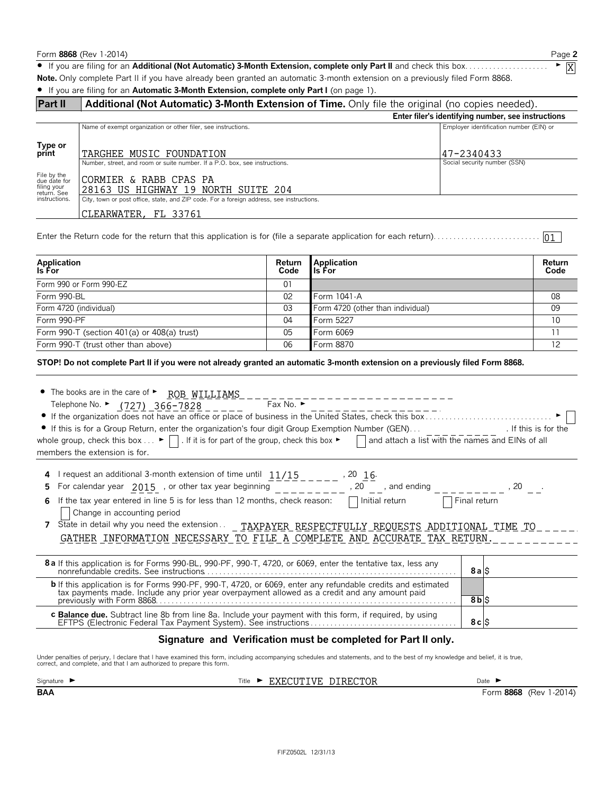Form **8868** (Rev 1-2014) Page **2** ? If you are filing for an **Additional (Not Automatic) 3-Month Extension, complete only Part II** and check this box. . . . . . . . . . . . . . . . . . . . . G **Note.** Only complete Part II if you have already been granted an automatic 3-month extension on a previously filed Form 8868. ? If you are filing for an **Automatic 3-Month Extension, complete only Part I** (on page 1). **Part II Additional (Not Automatic) 3-Month Extension of Time.** Only file the original (no copies needed). **Enter filer's identifying number, see instructions** Name of exempt organization or other filer, see instructions. The exempt of exempt organization or other filer, see instructions. **Type or print** Number, street, and room or suite number. If a P.O. box, see instructions. Social security number (SSN) File by the due date for filing your return. See instructions. City, town or post office, state, and ZIP code. For a foreign address, see instructions. Enter the Return code for the return that this application is for (file a separate application for each return). . . . . . . . . . . . . . . . . . . . . . . . . . . **Application Return Application Return Is For Code Is For Code** Form 990 or Form 990-EZ 01 Form 990-BL 02 Form 1041-A 08 Form 4720 (individual) 03 Form 4720 (other than individual) 09 Form 990-PF 04 Form 5227 10 Form 990-T (section 401(a) or 408(a) trust) 05 Form 6069 11 Form 990-T (trust other than above) 06 Form 8870 12 **STOP! Do not complete Part II if you were not already granted an automatic 3-month extension on a previously filed Form 8868.**  $\bullet$  The books are in the care of  $\triangleright$  ROB WILLIAMS Telephone No. ▶ <u>(727) 366-7828</u> \_ \_ \_ \_ \_ Fax No. ▶ ? If the organization does not have an office or place of business in the United States, check this box . . . . . . . . . . . . . . . . . . . . . . . . . . . . . . . . G ? If this is for a Group Return, enter the organization's four digit Group Exemption Number (GEN). . . . If this is for the whole group, check this box...  $\blacktriangleright$  | . If it is for part of the group, check this box  $\blacktriangleright$  | and attach a list with the names and EINs of all members the extension is for. **4** I request an additional 3-month extension of time until  $\frac{11/15}{1}$  \_ \_ \_ \_ \_ , 20  $\frac{16}{6}$ **5** For calendar year  $2015$  , or other tax year beginning  $\qquad$  \_ \_ \_ \_ \_ \_ \_ \_ \_ , 20  $\qquad$  , and ending  $\qquad$  \_ \_ \_ \_ \_ \_ \_ \_ \_ , 20  $\qquad$  . **6** If the tax year entered in line 5 is for less than 12 months, check reason:  $\Box$  Initial return  $\Box$  Final return Change in accounting period **7** State in detail why you need the extension.. TARGHEE MUSIC FOUNDATION 47-2340433 CLEARWATER, FL 33761 CORMIER & RABB CPAS PA 28163 US HIGHWAY 19 NORTH SUITE 204  $\overline{01}$ TAXPAYER RESPECTFULLY REQUESTS ADDITIONAL TIME TO GATHER INFORMATION NECESSARY TO FILE A COMPLETE AND ACCURATE TAX RETURN.

**8 a** If this application is for Forms 990-BL, 990-PF, 990-T, 4720, or 6069, enter the tentative tax, less any nonrefundable credits. See instructions. . . . . . . . . . . . . . . . . . . . . . . . . . . . . . . . . . . . . . . . . . . . . . . . . . . . . . . . . . . . . . . . **8 a** \$ **b** If this application is for Forms 990-PF, 990-T, 4720, or 6069, enter any refundable credits and estimated tax payments made. Include any prior year overpayment allowed as a credit and any amount paid previously with Form 8868. . . . . . . . . . . . . . . . . . . . . . . . . . . . . . . . . . . . . . . . . . . . . . . . . . . . . . . . . . . . . . . . . . . . . . . . . . . . **8 b** \$ **c Balance due.** Subtract line 8b from line 8a. Include your payment with this form, if required, by using EFTPS (Electronic Federal Tax Payment System). See instructions . . . . . . . . . . . . . . . . . . . . . . . . . . . . . . . . . . . . . **8 c** \$

#### **Signature and Verification must be completed for Part II only.**

Under penalties of perjury, I declare that I have examined this form, including accompanying schedules and statements, and to the best of my knowledge and belief, it is true,<br>correct, and complete, and that I am authorized

Signature  $\triangleright$   $\square$  Date  $\triangleright$  EXECUTIVE DIRECTOR Date  $\triangleright$ 

**BAA** Form 8868 (Rev 1-2014)

X